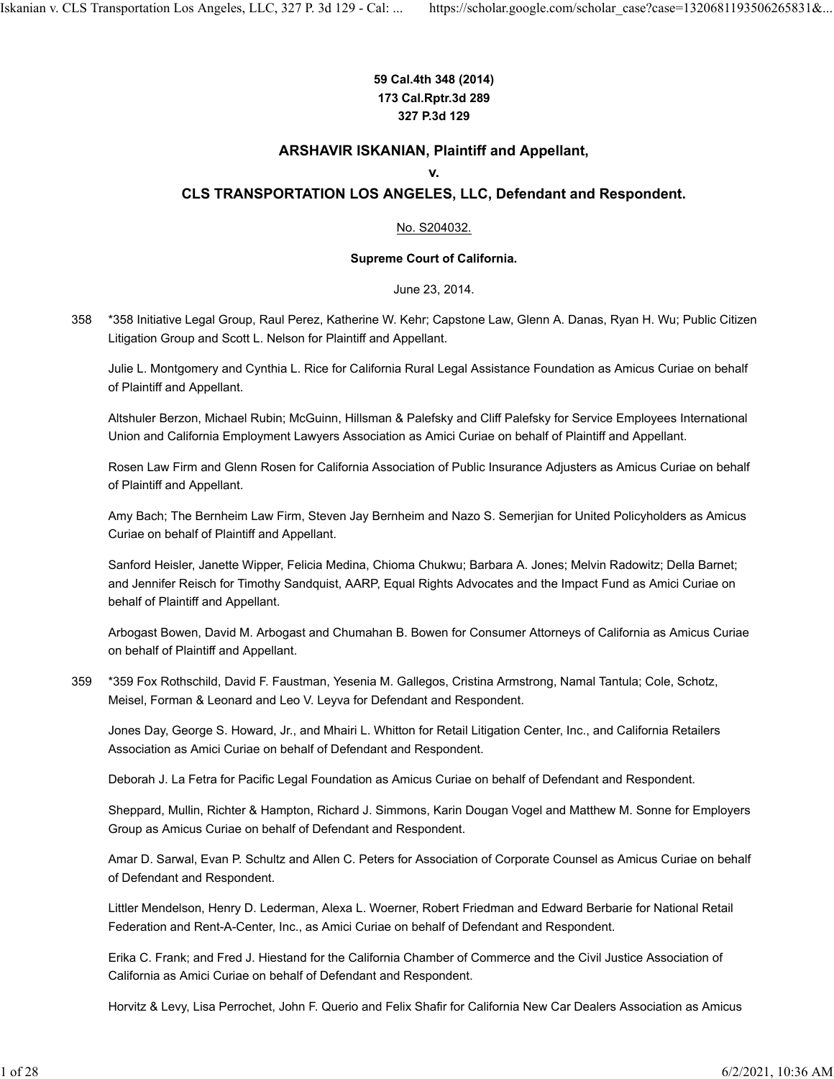#### **59 Cal.4th 348 (2014) 173 Cal.Rptr.3d 289 327 P.3d 129**

#### **ARSHAVIR ISKANIAN, Plaintiff and Appellant,**

#### **v.**

#### **CLS TRANSPORTATION LOS ANGELES, LLC, Defendant and Respondent.**

#### No. S204032.

#### **Supreme Court of California.**

June 23, 2014.

\*358 Initiative Legal Group, Raul Perez, Katherine W. Kehr; Capstone Law, Glenn A. Danas, Ryan H. Wu; Public Citizen Litigation Group and Scott L. Nelson for Plaintiff and Appellant. 358

Julie L. Montgomery and Cynthia L. Rice for California Rural Legal Assistance Foundation as Amicus Curiae on behalf of Plaintiff and Appellant.

Altshuler Berzon, Michael Rubin; McGuinn, Hillsman & Palefsky and Cliff Palefsky for Service Employees International Union and California Employment Lawyers Association as Amici Curiae on behalf of Plaintiff and Appellant.

Rosen Law Firm and Glenn Rosen for California Association of Public Insurance Adjusters as Amicus Curiae on behalf of Plaintiff and Appellant.

Amy Bach; The Bernheim Law Firm, Steven Jay Bernheim and Nazo S. Semerjian for United Policyholders as Amicus Curiae on behalf of Plaintiff and Appellant.

Sanford Heisler, Janette Wipper, Felicia Medina, Chioma Chukwu; Barbara A. Jones; Melvin Radowitz; Della Barnet; and Jennifer Reisch for Timothy Sandquist, AARP, Equal Rights Advocates and the Impact Fund as Amici Curiae on behalf of Plaintiff and Appellant.

Arbogast Bowen, David M. Arbogast and Chumahan B. Bowen for Consumer Attorneys of California as Amicus Curiae on behalf of Plaintiff and Appellant.

\*359 Fox Rothschild, David F. Faustman, Yesenia M. Gallegos, Cristina Armstrong, Namal Tantula; Cole, Schotz, Meisel, Forman & Leonard and Leo V. Leyva for Defendant and Respondent. 359

Jones Day, George S. Howard, Jr., and Mhairi L. Whitton for Retail Litigation Center, Inc., and California Retailers Association as Amici Curiae on behalf of Defendant and Respondent.

Deborah J. La Fetra for Pacific Legal Foundation as Amicus Curiae on behalf of Defendant and Respondent.

Sheppard, Mullin, Richter & Hampton, Richard J. Simmons, Karin Dougan Vogel and Matthew M. Sonne for Employers Group as Amicus Curiae on behalf of Defendant and Respondent.

Amar D. Sarwal, Evan P. Schultz and Allen C. Peters for Association of Corporate Counsel as Amicus Curiae on behalf of Defendant and Respondent.

Littler Mendelson, Henry D. Lederman, Alexa L. Woerner, Robert Friedman and Edward Berbarie for National Retail Federation and Rent-A-Center, Inc., as Amici Curiae on behalf of Defendant and Respondent.

Erika C. Frank; and Fred J. Hiestand for the California Chamber of Commerce and the Civil Justice Association of California as Amici Curiae on behalf of Defendant and Respondent.

Horvitz & Levy, Lisa Perrochet, John F. Querio and Felix Shafir for California New Car Dealers Association as Amicus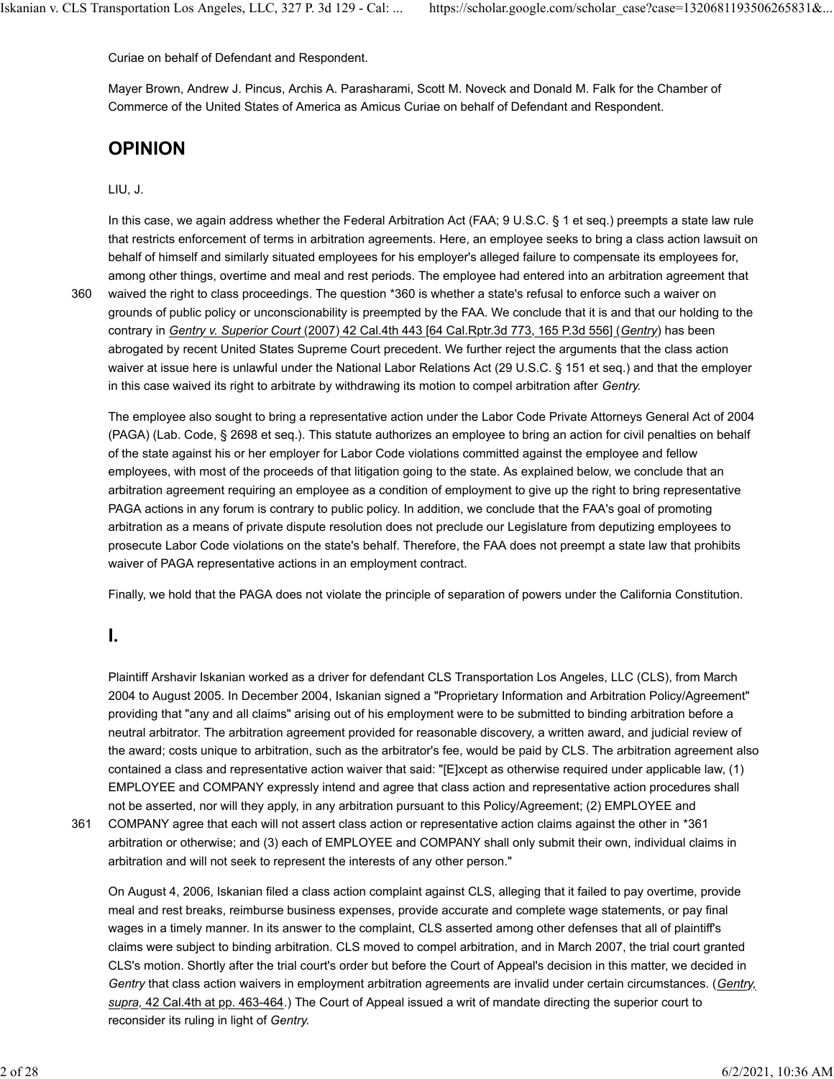Curiae on behalf of Defendant and Respondent.

Mayer Brown, Andrew J. Pincus, Archis A. Parasharami, Scott M. Noveck and Donald M. Falk for the Chamber of Commerce of the United States of America as Amicus Curiae on behalf of Defendant and Respondent.

### **OPINION**

#### LIU, J.

In this case, we again address whether the Federal Arbitration Act (FAA; 9 U.S.C. § 1 et seq.) preempts a state law rule that restricts enforcement of terms in arbitration agreements. Here, an employee seeks to bring a class action lawsuit on behalf of himself and similarly situated employees for his employer's alleged failure to compensate its employees for, among other things, overtime and meal and rest periods. The employee had entered into an arbitration agreement that

360

waived the right to class proceedings. The question \*360 is whether a state's refusal to enforce such a waiver on grounds of public policy or unconscionability is preempted by the FAA. We conclude that it is and that our holding to the contrary in *Gentry v. Superior Court* (2007) 42 Cal.4th 443 [64 Cal.Rptr.3d 773, 165 P.3d 556] (*Gentry*) has been abrogated by recent United States Supreme Court precedent. We further reject the arguments that the class action waiver at issue here is unlawful under the National Labor Relations Act (29 U.S.C. § 151 et seq.) and that the employer in this case waived its right to arbitrate by withdrawing its motion to compel arbitration after *Gentry.*

The employee also sought to bring a representative action under the Labor Code Private Attorneys General Act of 2004 (PAGA) (Lab. Code, § 2698 et seq.). This statute authorizes an employee to bring an action for civil penalties on behalf of the state against his or her employer for Labor Code violations committed against the employee and fellow employees, with most of the proceeds of that litigation going to the state. As explained below, we conclude that an arbitration agreement requiring an employee as a condition of employment to give up the right to bring representative PAGA actions in any forum is contrary to public policy. In addition, we conclude that the FAA's goal of promoting arbitration as a means of private dispute resolution does not preclude our Legislature from deputizing employees to prosecute Labor Code violations on the state's behalf. Therefore, the FAA does not preempt a state law that prohibits waiver of PAGA representative actions in an employment contract.

Finally, we hold that the PAGA does not violate the principle of separation of powers under the California Constitution.

#### **I.**

Plaintiff Arshavir Iskanian worked as a driver for defendant CLS Transportation Los Angeles, LLC (CLS), from March 2004 to August 2005. In December 2004, Iskanian signed a "Proprietary Information and Arbitration Policy/Agreement" providing that "any and all claims" arising out of his employment were to be submitted to binding arbitration before a neutral arbitrator. The arbitration agreement provided for reasonable discovery, a written award, and judicial review of the award; costs unique to arbitration, such as the arbitrator's fee, would be paid by CLS. The arbitration agreement also contained a class and representative action waiver that said: "[E]xcept as otherwise required under applicable law, (1) EMPLOYEE and COMPANY expressly intend and agree that class action and representative action procedures shall not be asserted, nor will they apply, in any arbitration pursuant to this Policy/Agreement; (2) EMPLOYEE and

361

COMPANY agree that each will not assert class action or representative action claims against the other in \*361 arbitration or otherwise; and (3) each of EMPLOYEE and COMPANY shall only submit their own, individual claims in arbitration and will not seek to represent the interests of any other person."

On August 4, 2006, Iskanian filed a class action complaint against CLS, alleging that it failed to pay overtime, provide meal and rest breaks, reimburse business expenses, provide accurate and complete wage statements, or pay final wages in a timely manner. In its answer to the complaint, CLS asserted among other defenses that all of plaintiff's claims were subject to binding arbitration. CLS moved to compel arbitration, and in March 2007, the trial court granted CLS's motion. Shortly after the trial court's order but before the Court of Appeal's decision in this matter, we decided in *Gentry* that class action waivers in employment arbitration agreements are invalid under certain circumstances. (*Gentry, supra,* 42 Cal.4th at pp. 463-464.) The Court of Appeal issued a writ of mandate directing the superior court to reconsider its ruling in light of *Gentry.*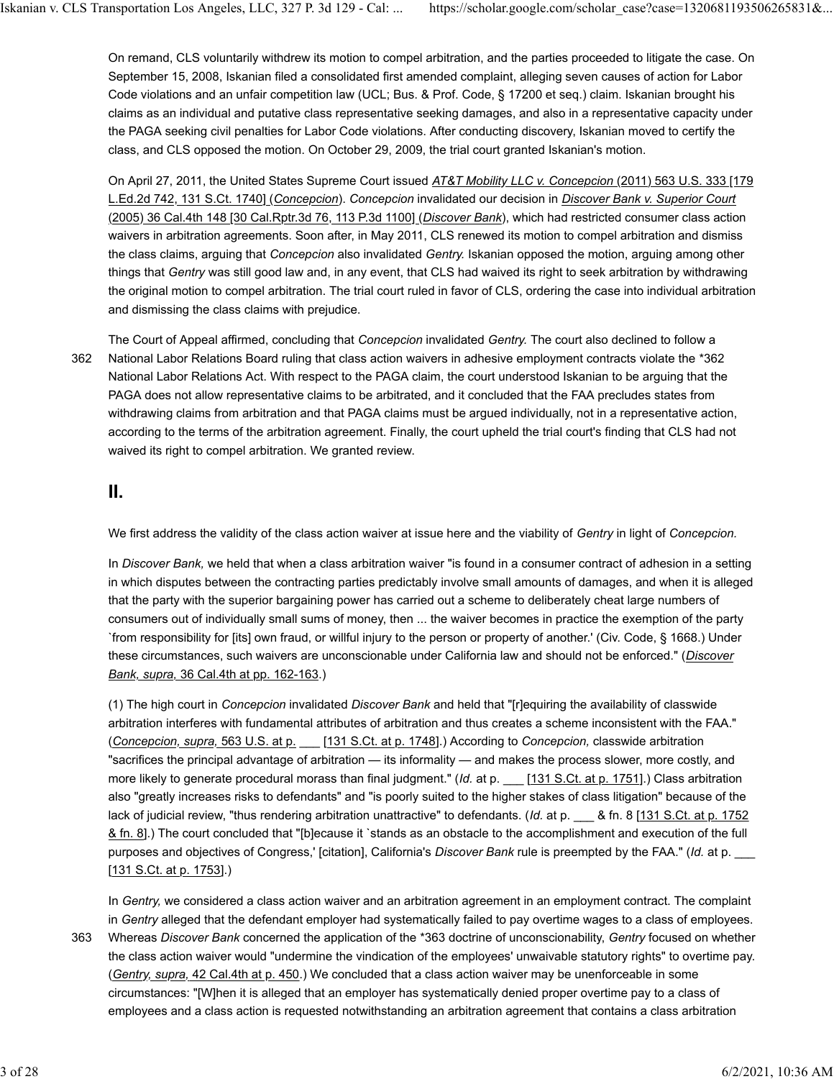On remand, CLS voluntarily withdrew its motion to compel arbitration, and the parties proceeded to litigate the case. On September 15, 2008, Iskanian filed a consolidated first amended complaint, alleging seven causes of action for Labor Code violations and an unfair competition law (UCL; Bus. & Prof. Code, § 17200 et seq.) claim. Iskanian brought his claims as an individual and putative class representative seeking damages, and also in a representative capacity under the PAGA seeking civil penalties for Labor Code violations. After conducting discovery, Iskanian moved to certify the class, and CLS opposed the motion. On October 29, 2009, the trial court granted Iskanian's motion.

On April 27, 2011, the United States Supreme Court issued *AT&T Mobility LLC v. Concepcion* (2011) 563 U.S. 333 [179 L.Ed.2d 742, 131 S.Ct. 1740] (*Concepcion*). *Concepcion* invalidated our decision in *Discover Bank v. Superior Court* (2005) 36 Cal.4th 148 [30 Cal.Rptr.3d 76, 113 P.3d 1100] (*Discover Bank*), which had restricted consumer class action waivers in arbitration agreements. Soon after, in May 2011, CLS renewed its motion to compel arbitration and dismiss the class claims, arguing that *Concepcion* also invalidated *Gentry.* Iskanian opposed the motion, arguing among other things that *Gentry* was still good law and, in any event, that CLS had waived its right to seek arbitration by withdrawing the original motion to compel arbitration. The trial court ruled in favor of CLS, ordering the case into individual arbitration and dismissing the class claims with prejudice.

362

The Court of Appeal affirmed, concluding that *Concepcion* invalidated *Gentry.* The court also declined to follow a National Labor Relations Board ruling that class action waivers in adhesive employment contracts violate the \*362 National Labor Relations Act. With respect to the PAGA claim, the court understood Iskanian to be arguing that the PAGA does not allow representative claims to be arbitrated, and it concluded that the FAA precludes states from withdrawing claims from arbitration and that PAGA claims must be argued individually, not in a representative action, according to the terms of the arbitration agreement. Finally, the court upheld the trial court's finding that CLS had not waived its right to compel arbitration. We granted review.

#### **II.**

We first address the validity of the class action waiver at issue here and the viability of *Gentry* in light of *Concepcion.*

In *Discover Bank,* we held that when a class arbitration waiver "is found in a consumer contract of adhesion in a setting in which disputes between the contracting parties predictably involve small amounts of damages, and when it is alleged that the party with the superior bargaining power has carried out a scheme to deliberately cheat large numbers of consumers out of individually small sums of money, then ... the waiver becomes in practice the exemption of the party `from responsibility for [its] own fraud, or willful injury to the person or property of another.' (Civ. Code, § 1668.) Under these circumstances, such waivers are unconscionable under California law and should not be enforced." (*Discover Bank, supra,* 36 Cal.4th at pp. 162-163.)

(1) The high court in *Concepcion* invalidated *Discover Bank* and held that "[r]equiring the availability of classwide arbitration interferes with fundamental attributes of arbitration and thus creates a scheme inconsistent with the FAA." (*Concepcion, supra,* 563 U.S. at p. \_\_\_ [131 S.Ct. at p. 1748].) According to *Concepcion,* classwide arbitration "sacrifices the principal advantage of arbitration — its informality — and makes the process slower, more costly, and more likely to generate procedural morass than final judgment." (*Id.* at p. \_\_ [131 S.Ct. at p. 1751].) Class arbitration also "greatly increases risks to defendants" and "is poorly suited to the higher stakes of class litigation" because of the lack of judicial review, "thus rendering arbitration unattractive" to defendants. (*Id.* at p. \_\_\_ & fn. 8 [131 S.Ct. at p. 1752 & fn. 8].) The court concluded that "[b]ecause it `stands as an obstacle to the accomplishment and execution of the full purposes and objectives of Congress,' [citation], California's *Discover Bank* rule is preempted by the FAA." (*Id.* at p. \_\_\_ [131 S.Ct. at p. 1753].)

In *Gentry,* we considered a class action waiver and an arbitration agreement in an employment contract. The complaint in *Gentry* alleged that the defendant employer had systematically failed to pay overtime wages to a class of employees.

Whereas *Discover Bank* concerned the application of the \*363 doctrine of unconscionability, *Gentry* focused on whether the class action waiver would "undermine the vindication of the employees' unwaivable statutory rights" to overtime pay. (*Gentry, supra,* 42 Cal.4th at p. 450.) We concluded that a class action waiver may be unenforceable in some circumstances: "[W]hen it is alleged that an employer has systematically denied proper overtime pay to a class of employees and a class action is requested notwithstanding an arbitration agreement that contains a class arbitration 363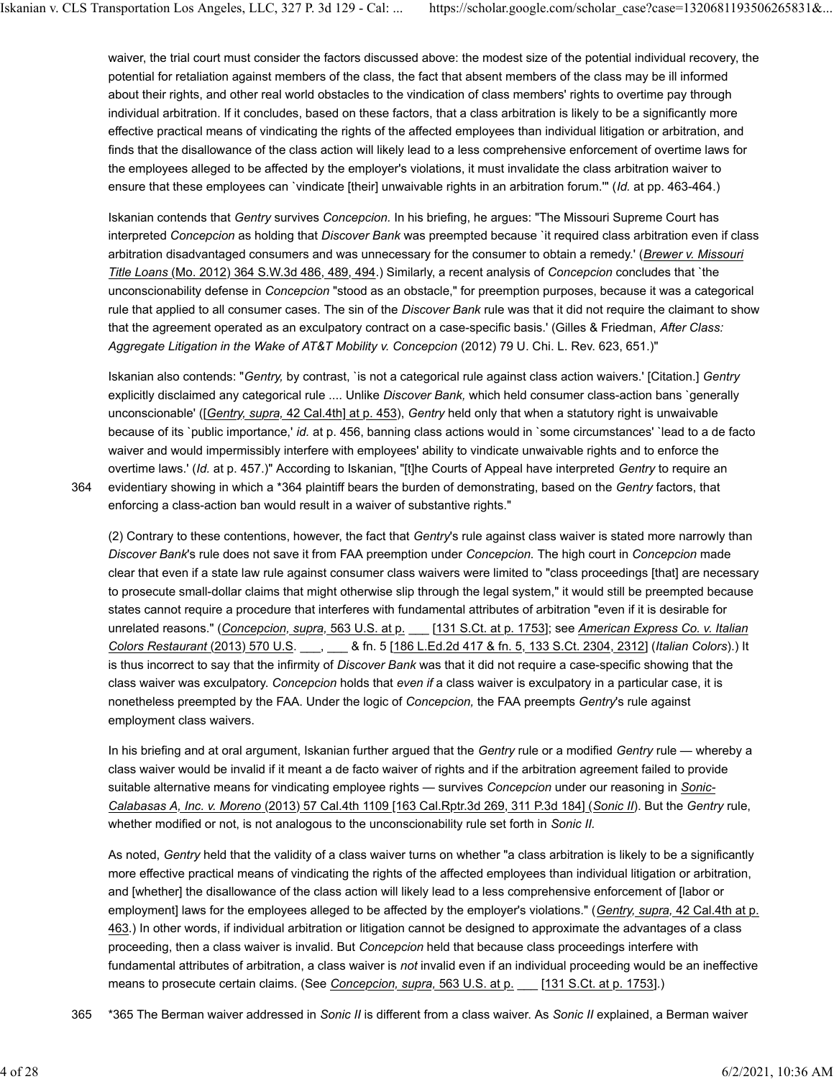waiver, the trial court must consider the factors discussed above: the modest size of the potential individual recovery, the potential for retaliation against members of the class, the fact that absent members of the class may be ill informed about their rights, and other real world obstacles to the vindication of class members' rights to overtime pay through individual arbitration. If it concludes, based on these factors, that a class arbitration is likely to be a significantly more effective practical means of vindicating the rights of the affected employees than individual litigation or arbitration, and finds that the disallowance of the class action will likely lead to a less comprehensive enforcement of overtime laws for the employees alleged to be affected by the employer's violations, it must invalidate the class arbitration waiver to ensure that these employees can `vindicate [their] unwaivable rights in an arbitration forum.'" (*Id.* at pp. 463-464.)

Iskanian contends that *Gentry* survives *Concepcion.* In his briefing, he argues: "The Missouri Supreme Court has interpreted *Concepcion* as holding that *Discover Bank* was preempted because `it required class arbitration even if class arbitration disadvantaged consumers and was unnecessary for the consumer to obtain a remedy.' (*Brewer v. Missouri Title Loans* (Mo. 2012) 364 S.W.3d 486, 489, 494.) Similarly, a recent analysis of *Concepcion* concludes that `the unconscionability defense in *Concepcion* "stood as an obstacle," for preemption purposes, because it was a categorical rule that applied to all consumer cases. The sin of the *Discover Bank* rule was that it did not require the claimant to show that the agreement operated as an exculpatory contract on a case-specific basis.' (Gilles & Friedman, *After Class: Aggregate Litigation in the Wake of AT&T Mobility v. Concepcion* (2012) 79 U. Chi. L. Rev. 623, 651.)"

Iskanian also contends: "*Gentry,* by contrast, `is not a categorical rule against class action waivers.' [Citation.] *Gentry* explicitly disclaimed any categorical rule .... Unlike *Discover Bank,* which held consumer class-action bans `generally unconscionable' ([*Gentry, supra,* 42 Cal.4th] at p. 453), *Gentry* held only that when a statutory right is unwaivable because of its `public importance,' *id.* at p. 456, banning class actions would in `some circumstances' `lead to a de facto waiver and would impermissibly interfere with employees' ability to vindicate unwaivable rights and to enforce the overtime laws.' (*Id.* at p. 457.)" According to Iskanian, "[t]he Courts of Appeal have interpreted *Gentry* to require an evidentiary showing in which a \*364 plaintiff bears the burden of demonstrating, based on the *Gentry* factors, that enforcing a class-action ban would result in a waiver of substantive rights."

364

(2) Contrary to these contentions, however, the fact that *Gentry*'s rule against class waiver is stated more narrowly than *Discover Bank*'s rule does not save it from FAA preemption under *Concepcion.* The high court in *Concepcion* made clear that even if a state law rule against consumer class waivers were limited to "class proceedings [that] are necessary to prosecute small-dollar claims that might otherwise slip through the legal system," it would still be preempted because states cannot require a procedure that interferes with fundamental attributes of arbitration "even if it is desirable for unrelated reasons." (*Concepcion, supra,* 563 U.S. at p. \_\_\_ [131 S.Ct. at p. 1753]; see *American Express Co. v. Italian Colors Restaurant* (2013) 570 U.S. \_\_\_, \_\_\_ & fn. 5 [186 L.Ed.2d 417 & fn. 5, 133 S.Ct. 2304, 2312] (*Italian Colors*).) It is thus incorrect to say that the infirmity of *Discover Bank* was that it did not require a case-specific showing that the class waiver was exculpatory. *Concepcion* holds that *even if* a class waiver is exculpatory in a particular case, it is nonetheless preempted by the FAA. Under the logic of *Concepcion,* the FAA preempts *Gentry*'s rule against employment class waivers.

In his briefing and at oral argument, Iskanian further argued that the *Gentry* rule or a modified *Gentry* rule — whereby a class waiver would be invalid if it meant a de facto waiver of rights and if the arbitration agreement failed to provide suitable alternative means for vindicating employee rights — survives *Concepcion* under our reasoning in *Sonic-Calabasas A, Inc. v. Moreno* (2013) 57 Cal.4th 1109 [163 Cal.Rptr.3d 269, 311 P.3d 184] (*Sonic II*). But the *Gentry* rule, whether modified or not, is not analogous to the unconscionability rule set forth in *Sonic II.*

As noted, *Gentry* held that the validity of a class waiver turns on whether "a class arbitration is likely to be a significantly more effective practical means of vindicating the rights of the affected employees than individual litigation or arbitration, and [whether] the disallowance of the class action will likely lead to a less comprehensive enforcement of [labor or employment] laws for the employees alleged to be affected by the employer's violations." (*Gentry, supra,* 42 Cal.4th at p. 463.) In other words, if individual arbitration or litigation cannot be designed to approximate the advantages of a class proceeding, then a class waiver is invalid. But *Concepcion* held that because class proceedings interfere with fundamental attributes of arbitration, a class waiver is *not* invalid even if an individual proceeding would be an ineffective means to prosecute certain claims. (See *Concepcion, supra,* 563 U.S. at p. \_\_\_ [131 S.Ct. at p. 1753].)

365 \*365 The Berman waiver addressed in *Sonic II* is different from a class waiver. As *Sonic II* explained, a Berman waiver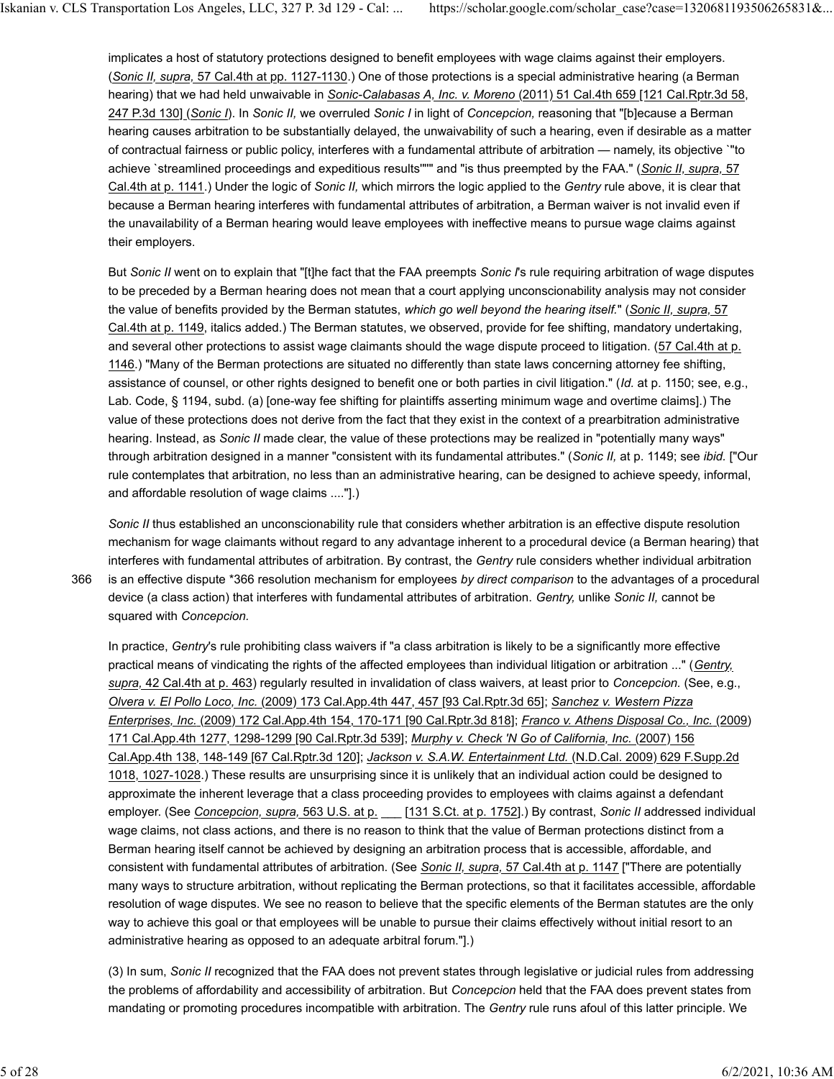implicates a host of statutory protections designed to benefit employees with wage claims against their employers. (*Sonic II, supra,* 57 Cal.4th at pp. 1127-1130.) One of those protections is a special administrative hearing (a Berman hearing) that we had held unwaivable in *Sonic-Calabasas A, Inc. v. Moreno* (2011) 51 Cal.4th 659 [121 Cal.Rptr.3d 58, 247 P.3d 130] (*Sonic I*). In *Sonic II,* we overruled *Sonic I* in light of *Concepcion,* reasoning that "[b]ecause a Berman hearing causes arbitration to be substantially delayed, the unwaivability of such a hearing, even if desirable as a matter of contractual fairness or public policy, interferes with a fundamental attribute of arbitration — namely, its objective `"to achieve `streamlined proceedings and expeditious results'"'" and "is thus preempted by the FAA." (*Sonic II, supra,* 57 Cal.4th at p. 1141.) Under the logic of *Sonic II,* which mirrors the logic applied to the *Gentry* rule above, it is clear that because a Berman hearing interferes with fundamental attributes of arbitration, a Berman waiver is not invalid even if the unavailability of a Berman hearing would leave employees with ineffective means to pursue wage claims against their employers.

But *Sonic II* went on to explain that "[t]he fact that the FAA preempts *Sonic I*'s rule requiring arbitration of wage disputes to be preceded by a Berman hearing does not mean that a court applying unconscionability analysis may not consider the value of benefits provided by the Berman statutes, *which go well beyond the hearing itself.*" (*Sonic II, supra,* 57 Cal.4th at p. 1149, italics added.) The Berman statutes, we observed, provide for fee shifting, mandatory undertaking, and several other protections to assist wage claimants should the wage dispute proceed to litigation. (57 Cal.4th at p. 1146.) "Many of the Berman protections are situated no differently than state laws concerning attorney fee shifting, assistance of counsel, or other rights designed to benefit one or both parties in civil litigation." (*Id.* at p. 1150; see, e.g., Lab. Code, § 1194, subd. (a) [one-way fee shifting for plaintiffs asserting minimum wage and overtime claims].) The value of these protections does not derive from the fact that they exist in the context of a prearbitration administrative hearing. Instead, as *Sonic II* made clear, the value of these protections may be realized in "potentially many ways" through arbitration designed in a manner "consistent with its fundamental attributes." (*Sonic II,* at p. 1149; see *ibid.* ["Our rule contemplates that arbitration, no less than an administrative hearing, can be designed to achieve speedy, informal, and affordable resolution of wage claims ...."].)

366

*Sonic II* thus established an unconscionability rule that considers whether arbitration is an effective dispute resolution mechanism for wage claimants without regard to any advantage inherent to a procedural device (a Berman hearing) that interferes with fundamental attributes of arbitration. By contrast, the *Gentry* rule considers whether individual arbitration is an effective dispute \*366 resolution mechanism for employees *by direct comparison* to the advantages of a procedural device (a class action) that interferes with fundamental attributes of arbitration. *Gentry,* unlike *Sonic II,* cannot be squared with *Concepcion.*

In practice, *Gentry*'s rule prohibiting class waivers if "a class arbitration is likely to be a significantly more effective practical means of vindicating the rights of the affected employees than individual litigation or arbitration ..." (*Gentry, supra,* 42 Cal.4th at p. 463) regularly resulted in invalidation of class waivers, at least prior to *Concepcion.* (See, e.g., *Olvera v. El Pollo Loco, Inc.* (2009) 173 Cal.App.4th 447, 457 [93 Cal.Rptr.3d 65]; *Sanchez v. Western Pizza Enterprises, Inc.* (2009) 172 Cal.App.4th 154, 170-171 [90 Cal.Rptr.3d 818]; *Franco v. Athens Disposal Co., Inc.* (2009) 171 Cal.App.4th 1277, 1298-1299 [90 Cal.Rptr.3d 539]; *Murphy v. Check 'N Go of California, Inc.* (2007) 156 Cal.App.4th 138, 148-149 [67 Cal.Rptr.3d 120]; *Jackson v. S.A.W. Entertainment Ltd.* (N.D.Cal. 2009) 629 F.Supp.2d 1018, 1027-1028.) These results are unsurprising since it is unlikely that an individual action could be designed to approximate the inherent leverage that a class proceeding provides to employees with claims against a defendant employer. (See *Concepcion, supra,* 563 U.S. at p. \_\_\_ [131 S.Ct. at p. 1752].) By contrast, *Sonic II* addressed individual wage claims, not class actions, and there is no reason to think that the value of Berman protections distinct from a Berman hearing itself cannot be achieved by designing an arbitration process that is accessible, affordable, and consistent with fundamental attributes of arbitration. (See *Sonic II, supra,* 57 Cal.4th at p. 1147 ["There are potentially many ways to structure arbitration, without replicating the Berman protections, so that it facilitates accessible, affordable resolution of wage disputes. We see no reason to believe that the specific elements of the Berman statutes are the only way to achieve this goal or that employees will be unable to pursue their claims effectively without initial resort to an administrative hearing as opposed to an adequate arbitral forum."].)

(3) In sum, *Sonic II* recognized that the FAA does not prevent states through legislative or judicial rules from addressing the problems of affordability and accessibility of arbitration. But *Concepcion* held that the FAA does prevent states from mandating or promoting procedures incompatible with arbitration. The *Gentry* rule runs afoul of this latter principle. We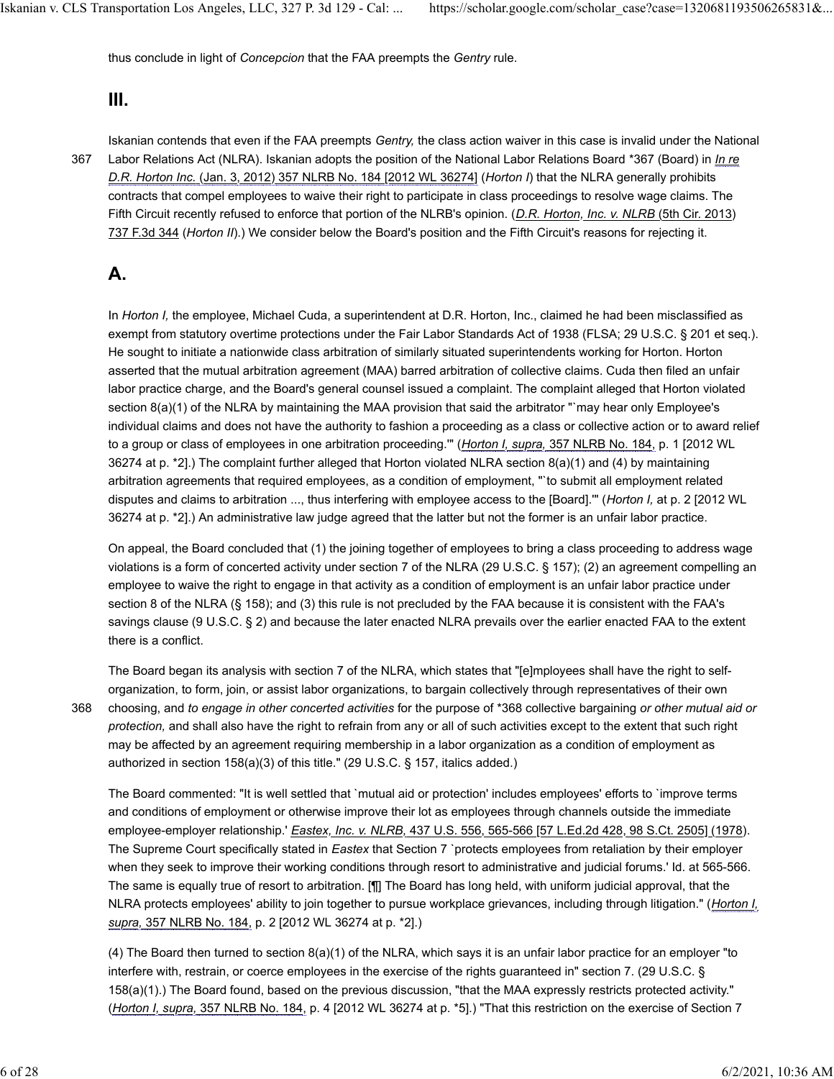thus conclude in light of *Concepcion* that the FAA preempts the *Gentry* rule.

#### **III.**

367

Iskanian contends that even if the FAA preempts *Gentry,* the class action waiver in this case is invalid under the National Labor Relations Act (NLRA). Iskanian adopts the position of the National Labor Relations Board \*367 (Board) in *In re D.R. Horton Inc.* (Jan. 3, 2012) 357 NLRB No. 184 [2012 WL 36274] (*Horton I*) that the NLRA generally prohibits contracts that compel employees to waive their right to participate in class proceedings to resolve wage claims. The Fifth Circuit recently refused to enforce that portion of the NLRB's opinion. (*D.R. Horton, Inc. v. NLRB* (5th Cir. 2013) 737 F.3d 344 (*Horton II*).) We consider below the Board's position and the Fifth Circuit's reasons for rejecting it.

### **A.**

In *Horton I,* the employee, Michael Cuda, a superintendent at D.R. Horton, Inc., claimed he had been misclassified as exempt from statutory overtime protections under the Fair Labor Standards Act of 1938 (FLSA; 29 U.S.C. § 201 et seq.). He sought to initiate a nationwide class arbitration of similarly situated superintendents working for Horton. Horton asserted that the mutual arbitration agreement (MAA) barred arbitration of collective claims. Cuda then filed an unfair labor practice charge, and the Board's general counsel issued a complaint. The complaint alleged that Horton violated section 8(a)(1) of the NLRA by maintaining the MAA provision that said the arbitrator "`may hear only Employee's individual claims and does not have the authority to fashion a proceeding as a class or collective action or to award relief to a group or class of employees in one arbitration proceeding.'" (*Horton I, supra,* 357 NLRB No. 184, p. 1 [2012 WL 36274 at p. \*2].) The complaint further alleged that Horton violated NLRA section 8(a)(1) and (4) by maintaining arbitration agreements that required employees, as a condition of employment, "`to submit all employment related disputes and claims to arbitration ..., thus interfering with employee access to the [Board].'" (*Horton I,* at p. 2 [2012 WL 36274 at p. \*2].) An administrative law judge agreed that the latter but not the former is an unfair labor practice.

On appeal, the Board concluded that (1) the joining together of employees to bring a class proceeding to address wage violations is a form of concerted activity under section 7 of the NLRA (29 U.S.C. § 157); (2) an agreement compelling an employee to waive the right to engage in that activity as a condition of employment is an unfair labor practice under section 8 of the NLRA (§ 158); and (3) this rule is not precluded by the FAA because it is consistent with the FAA's savings clause (9 U.S.C. § 2) and because the later enacted NLRA prevails over the earlier enacted FAA to the extent there is a conflict.

368

The Board began its analysis with section 7 of the NLRA, which states that "[e]mployees shall have the right to selforganization, to form, join, or assist labor organizations, to bargain collectively through representatives of their own choosing, and *to engage in other concerted activities* for the purpose of \*368 collective bargaining *or other mutual aid or protection,* and shall also have the right to refrain from any or all of such activities except to the extent that such right may be affected by an agreement requiring membership in a labor organization as a condition of employment as authorized in section 158(a)(3) of this title." (29 U.S.C. § 157, italics added.)

The Board commented: "It is well settled that `mutual aid or protection' includes employees' efforts to `improve terms and conditions of employment or otherwise improve their lot as employees through channels outside the immediate employee-employer relationship.' *Eastex, Inc. v. NLRB,* 437 U.S. 556, 565-566 [57 L.Ed.2d 428, 98 S.Ct. 2505] (1978). The Supreme Court specifically stated in *Eastex* that Section 7 `protects employees from retaliation by their employer when they seek to improve their working conditions through resort to administrative and judicial forums.' Id. at 565-566. The same is equally true of resort to arbitration. [¶] The Board has long held, with uniform judicial approval, that the NLRA protects employees' ability to join together to pursue workplace grievances, including through litigation." (*Horton I, supra,* 357 NLRB No. 184, p. 2 [2012 WL 36274 at p. \*2].)

(4) The Board then turned to section 8(a)(1) of the NLRA, which says it is an unfair labor practice for an employer "to interfere with, restrain, or coerce employees in the exercise of the rights guaranteed in" section 7. (29 U.S.C. § 158(a)(1).) The Board found, based on the previous discussion, "that the MAA expressly restricts protected activity." (*Horton I, supra,* 357 NLRB No. 184, p. 4 [2012 WL 36274 at p. \*5].) "That this restriction on the exercise of Section 7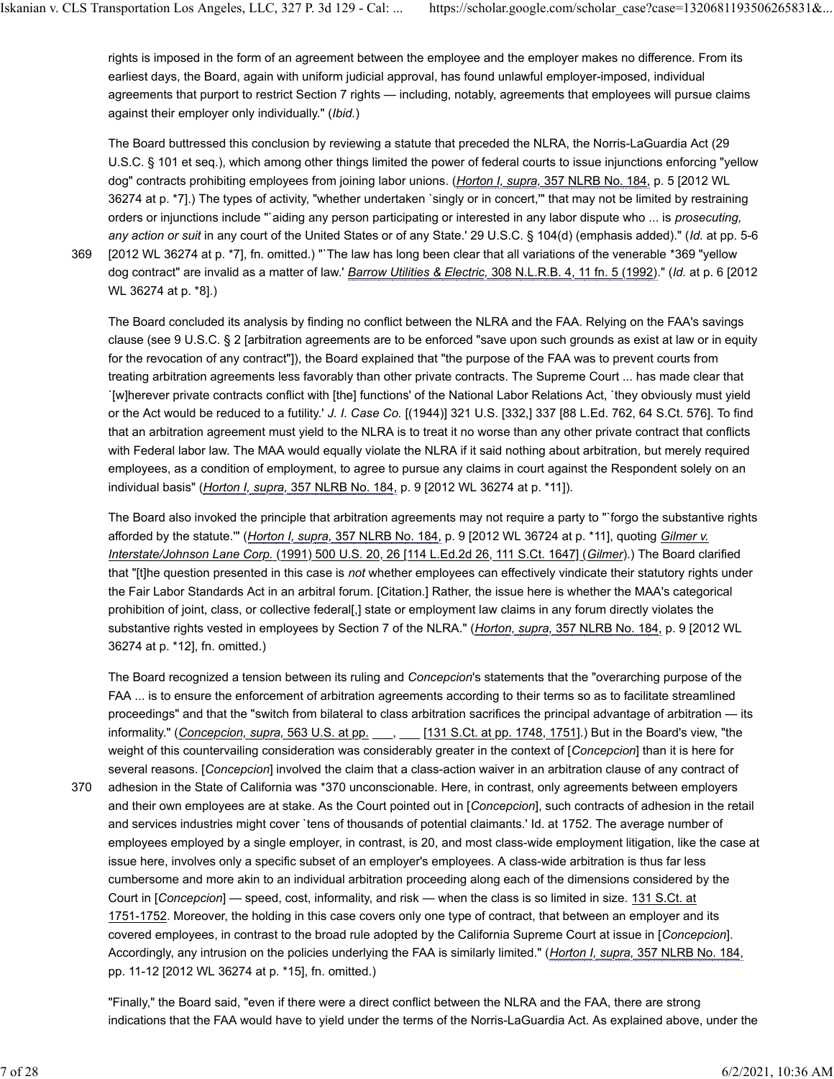rights is imposed in the form of an agreement between the employee and the employer makes no difference. From its earliest days, the Board, again with uniform judicial approval, has found unlawful employer-imposed, individual agreements that purport to restrict Section 7 rights — including, notably, agreements that employees will pursue claims against their employer only individually." (*Ibid.*)

The Board buttressed this conclusion by reviewing a statute that preceded the NLRA, the Norris-LaGuardia Act (29 U.S.C. § 101 et seq.), which among other things limited the power of federal courts to issue injunctions enforcing "yellow dog" contracts prohibiting employees from joining labor unions. (*Horton I, supra,* 357 NLRB No. 184, p. 5 [2012 WL 36274 at p. \*7].) The types of activity, "whether undertaken `singly or in concert,'" that may not be limited by restraining orders or injunctions include "`aiding any person participating or interested in any labor dispute who ... is *prosecuting, any action or suit* in any court of the United States or of any State.' 29 U.S.C. § 104(d) (emphasis added)." (*Id.* at pp. 5-6 [2012 WL 36274 at p. \*7], fn. omitted.) "`The law has long been clear that all variations of the venerable \*369 "yellow dog contract" are invalid as a matter of law.' *Barrow Utilities & Electric,* 308 N.L.R.B. 4, 11 fn. 5 (1992)." (*Id.* at p. 6 [2012

369

WL 36274 at p. \*8].)

The Board concluded its analysis by finding no conflict between the NLRA and the FAA. Relying on the FAA's savings clause (see 9 U.S.C. § 2 [arbitration agreements are to be enforced "save upon such grounds as exist at law or in equity for the revocation of any contract"]), the Board explained that "the purpose of the FAA was to prevent courts from treating arbitration agreements less favorably than other private contracts. The Supreme Court ... has made clear that `[w]herever private contracts conflict with [the] functions' of the National Labor Relations Act, `they obviously must yield or the Act would be reduced to a futility.' *J. I. Case Co.* [(1944)] 321 U.S. [332,] 337 [88 L.Ed. 762, 64 S.Ct. 576]. To find that an arbitration agreement must yield to the NLRA is to treat it no worse than any other private contract that conflicts with Federal labor law. The MAA would equally violate the NLRA if it said nothing about arbitration, but merely required employees, as a condition of employment, to agree to pursue any claims in court against the Respondent solely on an individual basis" (*Horton I, supra,* 357 NLRB No. 184, p. 9 [2012 WL 36274 at p. \*11]).

The Board also invoked the principle that arbitration agreements may not require a party to "`forgo the substantive rights afforded by the statute.'" (*Horton I, supra,* 357 NLRB No. 184, p. 9 [2012 WL 36724 at p. \*11], quoting *Gilmer v. Interstate/Johnson Lane Corp.* (1991) 500 U.S. 20, 26 [114 L.Ed.2d 26, 111 S.Ct. 1647] (*Gilmer*).) The Board clarified that "[t]he question presented in this case is *not* whether employees can effectively vindicate their statutory rights under the Fair Labor Standards Act in an arbitral forum. [Citation.] Rather, the issue here is whether the MAA's categorical prohibition of joint, class, or collective federal[,] state or employment law claims in any forum directly violates the substantive rights vested in employees by Section 7 of the NLRA." (*Horton, supra,* 357 NLRB No. 184, p. 9 [2012 WL 36274 at p. \*12], fn. omitted.)

The Board recognized a tension between its ruling and *Concepcion*'s statements that the "overarching purpose of the FAA ... is to ensure the enforcement of arbitration agreements according to their terms so as to facilitate streamlined proceedings" and that the "switch from bilateral to class arbitration sacrifices the principal advantage of arbitration — its informality." (*Concepcion, supra,* 563 U.S. at pp. \_\_\_, \_\_\_ [131 S.Ct. at pp. 1748, 1751].) But in the Board's view, "the weight of this countervailing consideration was considerably greater in the context of [*Concepcion*] than it is here for several reasons. [*Concepcion*] involved the claim that a class-action waiver in an arbitration clause of any contract of adhesion in the State of California was \*370 unconscionable. Here, in contrast, only agreements between employers and their own employees are at stake. As the Court pointed out in [*Concepcion*], such contracts of adhesion in the retail and services industries might cover `tens of thousands of potential claimants.' Id. at 1752. The average number of employees employed by a single employer, in contrast, is 20, and most class-wide employment litigation, like the case at issue here, involves only a specific subset of an employer's employees. A class-wide arbitration is thus far less cumbersome and more akin to an individual arbitration proceeding along each of the dimensions considered by the Court in [*Concepcion*] — speed, cost, informality, and risk — when the class is so limited in size. 131 S.Ct. at 1751-1752. Moreover, the holding in this case covers only one type of contract, that between an employer and its covered employees, in contrast to the broad rule adopted by the California Supreme Court at issue in [*Concepcion*]. Accordingly, any intrusion on the policies underlying the FAA is similarly limited." (*Horton I, supra,* 357 NLRB No. 184, pp. 11-12 [2012 WL 36274 at p. \*15], fn. omitted.) 370

"Finally," the Board said, "even if there were a direct conflict between the NLRA and the FAA, there are strong indications that the FAA would have to yield under the terms of the Norris-LaGuardia Act. As explained above, under the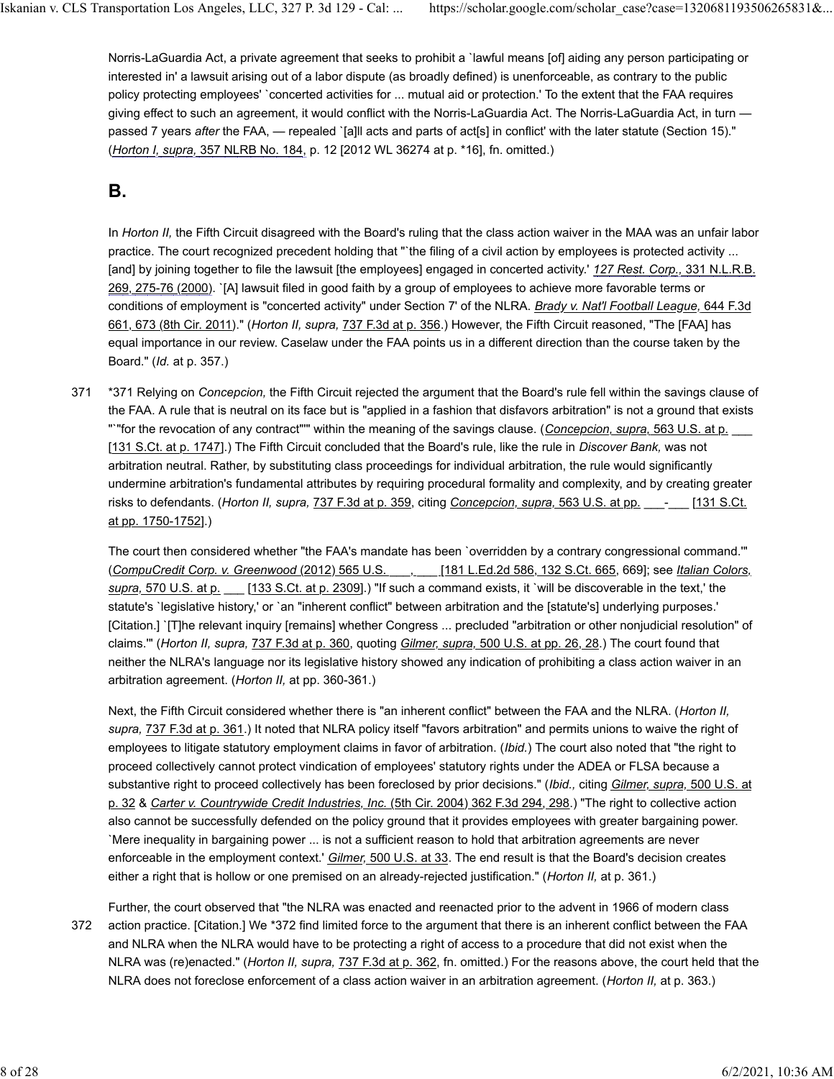Norris-LaGuardia Act, a private agreement that seeks to prohibit a `lawful means [of] aiding any person participating or interested in' a lawsuit arising out of a labor dispute (as broadly defined) is unenforceable, as contrary to the public policy protecting employees' `concerted activities for ... mutual aid or protection.' To the extent that the FAA requires giving effect to such an agreement, it would conflict with the Norris-LaGuardia Act. The Norris-LaGuardia Act, in turn passed 7 years *after* the FAA, — repealed `[a]ll acts and parts of act[s] in conflict' with the later statute (Section 15)." (*Horton I, supra,* 357 NLRB No. 184, p. 12 [2012 WL 36274 at p. \*16], fn. omitted.)

# **B.**

In *Horton II,* the Fifth Circuit disagreed with the Board's ruling that the class action waiver in the MAA was an unfair labor practice. The court recognized precedent holding that "`the filing of a civil action by employees is protected activity ... [and] by joining together to file the lawsuit [the employees] engaged in concerted activity.' *127 Rest. Corp.,* 331 N.L.R.B. 269, 275-76 (2000). `[A] lawsuit filed in good faith by a group of employees to achieve more favorable terms or conditions of employment is "concerted activity" under Section 7' of the NLRA. *Brady v. Nat'l Football League,* 644 F.3d 661, 673 (8th Cir. 2011)." (*Horton II, supra,* 737 F.3d at p. 356.) However, the Fifth Circuit reasoned, "The [FAA] has equal importance in our review. Caselaw under the FAA points us in a different direction than the course taken by the Board." (*Id.* at p. 357.)

\*371 Relying on *Concepcion,* the Fifth Circuit rejected the argument that the Board's rule fell within the savings clause of the FAA. A rule that is neutral on its face but is "applied in a fashion that disfavors arbitration" is not a ground that exists "`"for the revocation of any contract"'" within the meaning of the savings clause. (*Concepcion, supra,* 563 U.S. at p. \_\_\_ [131 S.Ct. at p. 1747].) The Fifth Circuit concluded that the Board's rule, like the rule in *Discover Bank,* was not arbitration neutral. Rather, by substituting class proceedings for individual arbitration, the rule would significantly undermine arbitration's fundamental attributes by requiring procedural formality and complexity, and by creating greater risks to defendants. (*Horton II, supra,* 737 F.3d at p. 359, citing *Concepcion, supra,* 563 U.S. at pp. \_\_\_-\_\_\_ [131 S.Ct. at pp. 1750-1752].) 371

The court then considered whether "the FAA's mandate has been `overridden by a contrary congressional command.'" (*CompuCredit Corp. v. Greenwood* (2012) 565 U.S. \_\_\_, \_\_\_ [181 L.Ed.2d 586, 132 S.Ct. 665, 669]; see *Italian Colors, supra,* 570 U.S. at p. \_\_\_ [133 S.Ct. at p. 2309].) "If such a command exists, it `will be discoverable in the text,' the statute's `legislative history,' or `an "inherent conflict" between arbitration and the [statute's] underlying purposes.' [Citation.] `[T]he relevant inquiry [remains] whether Congress ... precluded "arbitration or other nonjudicial resolution" of claims.'" (*Horton II, supra,* 737 F.3d at p. 360, quoting *Gilmer, supra,* 500 U.S. at pp. 26, 28.) The court found that neither the NLRA's language nor its legislative history showed any indication of prohibiting a class action waiver in an arbitration agreement. (*Horton II,* at pp. 360-361.)

Next, the Fifth Circuit considered whether there is "an inherent conflict" between the FAA and the NLRA. (*Horton II, supra,* 737 F.3d at p. 361.) It noted that NLRA policy itself "favors arbitration" and permits unions to waive the right of employees to litigate statutory employment claims in favor of arbitration. (*Ibid.*) The court also noted that "the right to proceed collectively cannot protect vindication of employees' statutory rights under the ADEA or FLSA because a substantive right to proceed collectively has been foreclosed by prior decisions." (*Ibid.,* citing *Gilmer, supra,* 500 U.S. at p. 32 & *Carter v. Countrywide Credit Industries, Inc.* (5th Cir. 2004) 362 F.3d 294, 298.) "The right to collective action also cannot be successfully defended on the policy ground that it provides employees with greater bargaining power. `Mere inequality in bargaining power ... is not a sufficient reason to hold that arbitration agreements are never enforceable in the employment context.' *Gilmer,* 500 U.S. at 33. The end result is that the Board's decision creates either a right that is hollow or one premised on an already-rejected justification." (*Horton II,* at p. 361.)

Further, the court observed that "the NLRA was enacted and reenacted prior to the advent in 1966 of modern class action practice. [Citation.] We \*372 find limited force to the argument that there is an inherent conflict between the FAA and NLRA when the NLRA would have to be protecting a right of access to a procedure that did not exist when the NLRA was (re)enacted." (*Horton II, supra,* 737 F.3d at p. 362, fn. omitted.) For the reasons above, the court held that the NLRA does not foreclose enforcement of a class action waiver in an arbitration agreement. (*Horton II,* at p. 363.) 372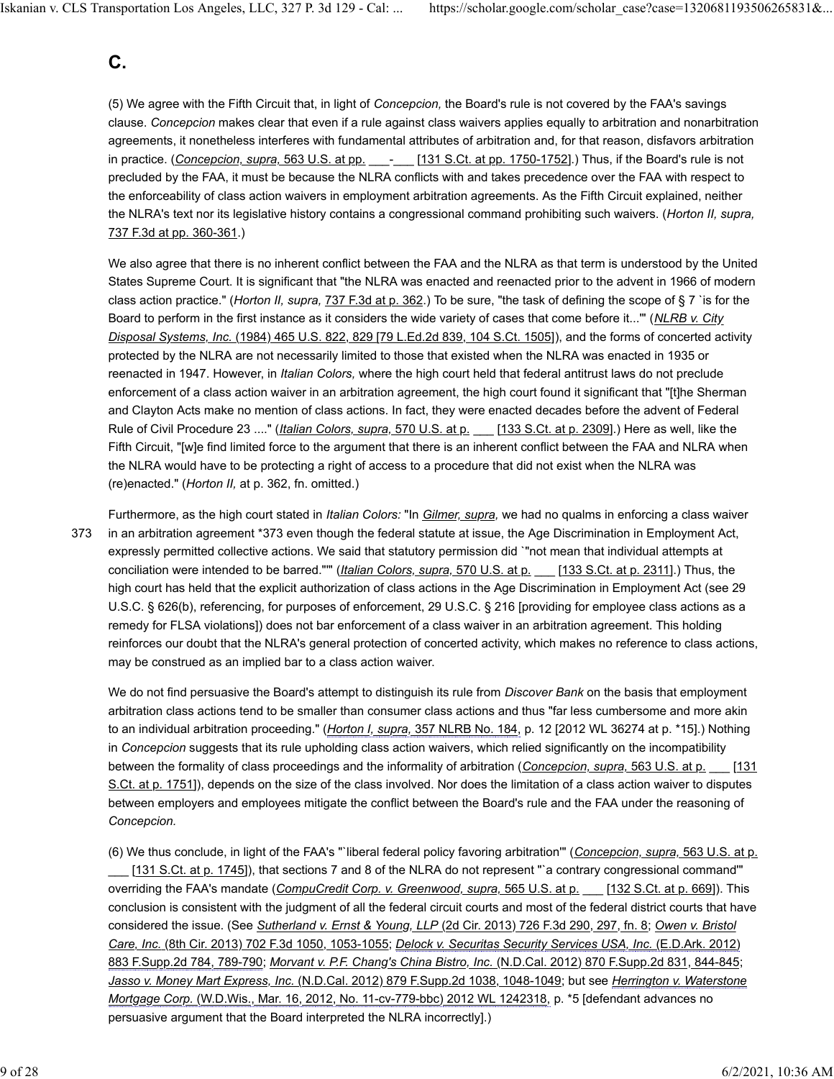### **C.**

(5) We agree with the Fifth Circuit that, in light of *Concepcion,* the Board's rule is not covered by the FAA's savings clause. *Concepcion* makes clear that even if a rule against class waivers applies equally to arbitration and nonarbitration agreements, it nonetheless interferes with fundamental attributes of arbitration and, for that reason, disfavors arbitration in practice. (*Concepcion, supra,* 563 U.S. at pp.  $\qquad -$  [131 S.Ct. at pp. 1750-1752].) Thus, if the Board's rule is not precluded by the FAA, it must be because the NLRA conflicts with and takes precedence over the FAA with respect to the enforceability of class action waivers in employment arbitration agreements. As the Fifth Circuit explained, neither the NLRA's text nor its legislative history contains a congressional command prohibiting such waivers. (*Horton II, supra,* 737 F.3d at pp. 360-361.)

We also agree that there is no inherent conflict between the FAA and the NLRA as that term is understood by the United States Supreme Court. It is significant that "the NLRA was enacted and reenacted prior to the advent in 1966 of modern class action practice." (*Horton II, supra,* 737 F.3d at p. 362.) To be sure, "the task of defining the scope of § 7 `is for the Board to perform in the first instance as it considers the wide variety of cases that come before it...'" (*NLRB v. City Disposal Systems, Inc.* (1984) 465 U.S. 822, 829 [79 L.Ed.2d 839, 104 S.Ct. 1505]), and the forms of concerted activity protected by the NLRA are not necessarily limited to those that existed when the NLRA was enacted in 1935 or reenacted in 1947. However, in *Italian Colors,* where the high court held that federal antitrust laws do not preclude enforcement of a class action waiver in an arbitration agreement, the high court found it significant that "[t]he Sherman and Clayton Acts make no mention of class actions. In fact, they were enacted decades before the advent of Federal Rule of Civil Procedure 23 ...." (*Italian Colors, supra,* 570 U.S. at p. \_\_\_ [133 S.Ct. at p. 2309].) Here as well, like the Fifth Circuit, "[w]e find limited force to the argument that there is an inherent conflict between the FAA and NLRA when the NLRA would have to be protecting a right of access to a procedure that did not exist when the NLRA was (re)enacted." (*Horton II,* at p. 362, fn. omitted.)

Furthermore, as the high court stated in *Italian Colors:* "In *Gilmer, supra,* we had no qualms in enforcing a class waiver in an arbitration agreement \*373 even though the federal statute at issue, the Age Discrimination in Employment Act, expressly permitted collective actions. We said that statutory permission did `"not mean that individual attempts at conciliation were intended to be barred."'" (*Italian Colors, supra,* 570 U.S. at p. \_\_\_ [133 S.Ct. at p. 2311].) Thus, the high court has held that the explicit authorization of class actions in the Age Discrimination in Employment Act (see 29 U.S.C. § 626(b), referencing, for purposes of enforcement, 29 U.S.C. § 216 [providing for employee class actions as a remedy for FLSA violations]) does not bar enforcement of a class waiver in an arbitration agreement. This holding reinforces our doubt that the NLRA's general protection of concerted activity, which makes no reference to class actions, may be construed as an implied bar to a class action waiver. 373

We do not find persuasive the Board's attempt to distinguish its rule from *Discover Bank* on the basis that employment arbitration class actions tend to be smaller than consumer class actions and thus "far less cumbersome and more akin to an individual arbitration proceeding." (*Horton I, supra,* 357 NLRB No. 184, p. 12 [2012 WL 36274 at p. \*15].) Nothing in *Concepcion* suggests that its rule upholding class action waivers, which relied significantly on the incompatibility between the formality of class proceedings and the informality of arbitration (*Concepcion, supra,* 563 U.S. at p. \_\_\_ [131 S.Ct. at p. 1751]), depends on the size of the class involved. Nor does the limitation of a class action waiver to disputes between employers and employees mitigate the conflict between the Board's rule and the FAA under the reasoning of *Concepcion.*

(6) We thus conclude, in light of the FAA's "`liberal federal policy favoring arbitration'" (*Concepcion, supra,* 563 U.S. at p. [131 S.Ct. at p. 1745]), that sections 7 and 8 of the NLRA do not represent "`a contrary congressional command"' overriding the FAA's mandate (*CompuCredit Corp. v. Greenwood, supra,* 565 U.S. at p. \_\_\_ [132 S.Ct. at p. 669]). This conclusion is consistent with the judgment of all the federal circuit courts and most of the federal district courts that have considered the issue. (See *Sutherland v. Ernst & Young, LLP* (2d Cir. 2013) 726 F.3d 290, 297, fn. 8; *Owen v. Bristol Care, Inc.* (8th Cir. 2013) 702 F.3d 1050, 1053-1055; *Delock v. Securitas Security Services USA, Inc.* (E.D.Ark. 2012) 883 F.Supp.2d 784, 789-790; *Morvant v. P.F. Chang's China Bistro, Inc.* (N.D.Cal. 2012) 870 F.Supp.2d 831, 844-845; *Jasso v. Money Mart Express, Inc.* (N.D.Cal. 2012) 879 F.Supp.2d 1038, 1048-1049; but see *Herrington v. Waterstone Mortgage Corp.* (W.D.Wis., Mar. 16, 2012, No. 11-cv-779-bbc) 2012 WL 1242318, p. \*5 [defendant advances no persuasive argument that the Board interpreted the NLRA incorrectly].)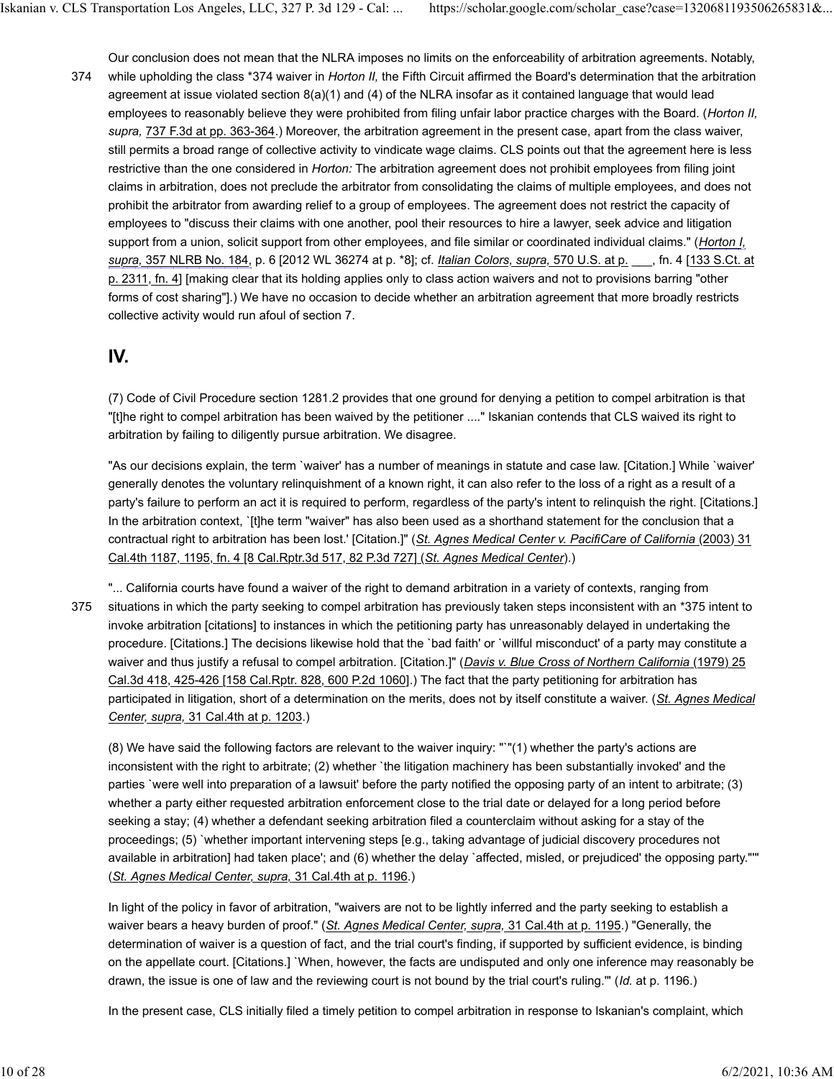Our conclusion does not mean that the NLRA imposes no limits on the enforceability of arbitration agreements. Notably, while upholding the class \*374 waiver in *Horton II,* the Fifth Circuit affirmed the Board's determination that the arbitration agreement at issue violated section 8(a)(1) and (4) of the NLRA insofar as it contained language that would lead employees to reasonably believe they were prohibited from filing unfair labor practice charges with the Board. (*Horton II, supra,* 737 F.3d at pp. 363-364.) Moreover, the arbitration agreement in the present case, apart from the class waiver, still permits a broad range of collective activity to vindicate wage claims. CLS points out that the agreement here is less restrictive than the one considered in *Horton:* The arbitration agreement does not prohibit employees from filing joint claims in arbitration, does not preclude the arbitrator from consolidating the claims of multiple employees, and does not prohibit the arbitrator from awarding relief to a group of employees. The agreement does not restrict the capacity of employees to "discuss their claims with one another, pool their resources to hire a lawyer, seek advice and litigation support from a union, solicit support from other employees, and file similar or coordinated individual claims." (*Horton I, supra,* 357 NLRB No. 184, p. 6 [2012 WL 36274 at p. \*8]; cf. *Italian Colors, supra,* 570 U.S. at p. \_\_\_, fn. 4 [133 S.Ct. at p. 2311, fn. 4] [making clear that its holding applies only to class action waivers and not to provisions barring "other forms of cost sharing"].) We have no occasion to decide whether an arbitration agreement that more broadly restricts collective activity would run afoul of section 7. 374

#### **IV.**

(7) Code of Civil Procedure section 1281.2 provides that one ground for denying a petition to compel arbitration is that "[t]he right to compel arbitration has been waived by the petitioner ...." Iskanian contends that CLS waived its right to arbitration by failing to diligently pursue arbitration. We disagree.

"As our decisions explain, the term `waiver' has a number of meanings in statute and case law. [Citation.] While `waiver' generally denotes the voluntary relinquishment of a known right, it can also refer to the loss of a right as a result of a party's failure to perform an act it is required to perform, regardless of the party's intent to relinquish the right. [Citations.] In the arbitration context, `[t]he term "waiver" has also been used as a shorthand statement for the conclusion that a contractual right to arbitration has been lost.' [Citation.]" (*St. Agnes Medical Center v. PacifiCare of California* (2003) 31 Cal.4th 1187, 1195, fn. 4 [8 Cal.Rptr.3d 517, 82 P.3d 727] (*St. Agnes Medical Center*).)

"... California courts have found a waiver of the right to demand arbitration in a variety of contexts, ranging from situations in which the party seeking to compel arbitration has previously taken steps inconsistent with an \*375 intent to invoke arbitration [citations] to instances in which the petitioning party has unreasonably delayed in undertaking the procedure. [Citations.] The decisions likewise hold that the `bad faith' or `willful misconduct' of a party may constitute a waiver and thus justify a refusal to compel arbitration. [Citation.]" (*Davis v. Blue Cross of Northern California* (1979) 25 Cal.3d 418, 425-426 [158 Cal.Rptr. 828, 600 P.2d 1060].) The fact that the party petitioning for arbitration has participated in litigation, short of a determination on the merits, does not by itself constitute a waiver. (*St. Agnes Medical Center, supra,* 31 Cal.4th at p. 1203.) 375

(8) We have said the following factors are relevant to the waiver inquiry: "`"(1) whether the party's actions are inconsistent with the right to arbitrate; (2) whether `the litigation machinery has been substantially invoked' and the parties `were well into preparation of a lawsuit' before the party notified the opposing party of an intent to arbitrate; (3) whether a party either requested arbitration enforcement close to the trial date or delayed for a long period before seeking a stay; (4) whether a defendant seeking arbitration filed a counterclaim without asking for a stay of the proceedings; (5) `whether important intervening steps [e.g., taking advantage of judicial discovery procedures not available in arbitration] had taken place'; and (6) whether the delay `affected, misled, or prejudiced' the opposing party."'" (*St. Agnes Medical Center, supra,* 31 Cal.4th at p. 1196.)

In light of the policy in favor of arbitration, "waivers are not to be lightly inferred and the party seeking to establish a waiver bears a heavy burden of proof." (*St. Agnes Medical Center, supra,* 31 Cal.4th at p. 1195.) "Generally, the determination of waiver is a question of fact, and the trial court's finding, if supported by sufficient evidence, is binding on the appellate court. [Citations.] `When, however, the facts are undisputed and only one inference may reasonably be drawn, the issue is one of law and the reviewing court is not bound by the trial court's ruling.'" (*Id.* at p. 1196.)

In the present case, CLS initially filed a timely petition to compel arbitration in response to Iskanian's complaint, which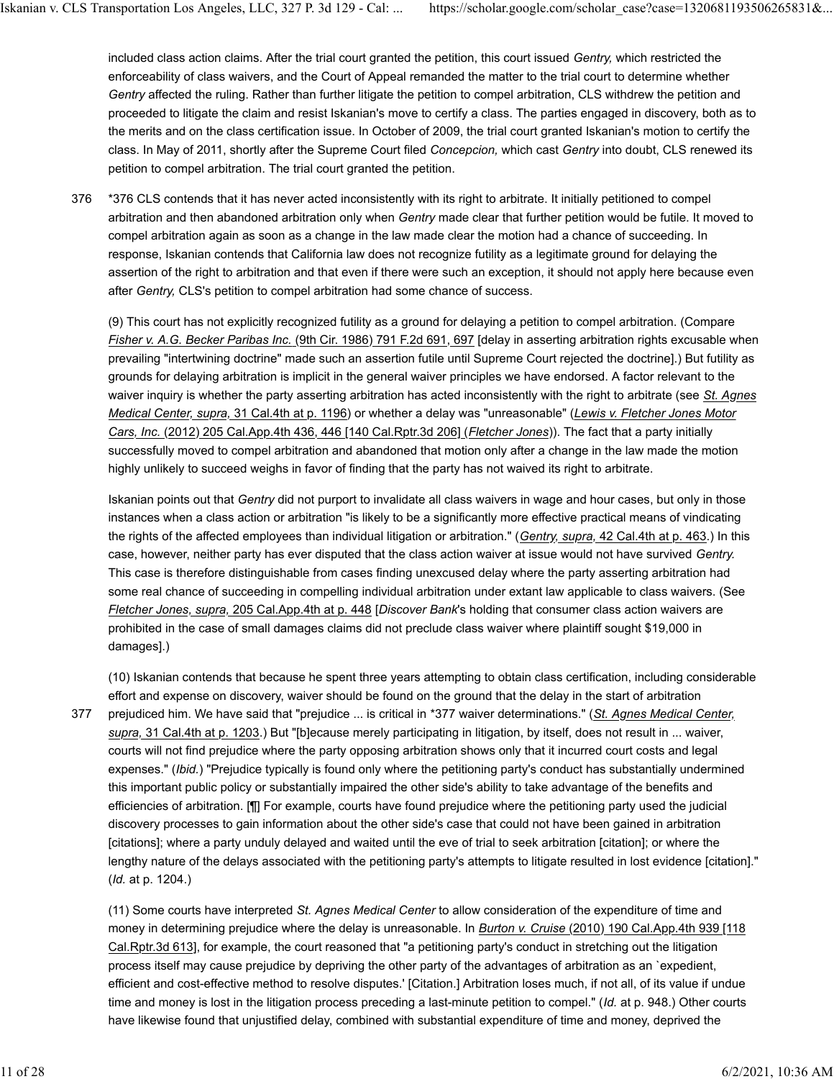included class action claims. After the trial court granted the petition, this court issued *Gentry,* which restricted the enforceability of class waivers, and the Court of Appeal remanded the matter to the trial court to determine whether *Gentry* affected the ruling. Rather than further litigate the petition to compel arbitration, CLS withdrew the petition and proceeded to litigate the claim and resist Iskanian's move to certify a class. The parties engaged in discovery, both as to the merits and on the class certification issue. In October of 2009, the trial court granted Iskanian's motion to certify the class. In May of 2011, shortly after the Supreme Court filed *Concepcion,* which cast *Gentry* into doubt, CLS renewed its petition to compel arbitration. The trial court granted the petition.

\*376 CLS contends that it has never acted inconsistently with its right to arbitrate. It initially petitioned to compel arbitration and then abandoned arbitration only when *Gentry* made clear that further petition would be futile. It moved to compel arbitration again as soon as a change in the law made clear the motion had a chance of succeeding. In response, Iskanian contends that California law does not recognize futility as a legitimate ground for delaying the assertion of the right to arbitration and that even if there were such an exception, it should not apply here because even after *Gentry,* CLS's petition to compel arbitration had some chance of success. 376

(9) This court has not explicitly recognized futility as a ground for delaying a petition to compel arbitration. (Compare *Fisher v. A.G. Becker Paribas Inc.* (9th Cir. 1986) 791 F.2d 691, 697 [delay in asserting arbitration rights excusable when prevailing "intertwining doctrine" made such an assertion futile until Supreme Court rejected the doctrine].) But futility as grounds for delaying arbitration is implicit in the general waiver principles we have endorsed. A factor relevant to the waiver inquiry is whether the party asserting arbitration has acted inconsistently with the right to arbitrate (see *St. Agnes Medical Center, supra,* 31 Cal.4th at p. 1196) or whether a delay was "unreasonable" (*Lewis v. Fletcher Jones Motor Cars, Inc.* (2012) 205 Cal.App.4th 436, 446 [140 Cal.Rptr.3d 206] (*Fletcher Jones*)). The fact that a party initially successfully moved to compel arbitration and abandoned that motion only after a change in the law made the motion highly unlikely to succeed weighs in favor of finding that the party has not waived its right to arbitrate.

Iskanian points out that *Gentry* did not purport to invalidate all class waivers in wage and hour cases, but only in those instances when a class action or arbitration "is likely to be a significantly more effective practical means of vindicating the rights of the affected employees than individual litigation or arbitration." (*Gentry, supra,* 42 Cal.4th at p. 463.) In this case, however, neither party has ever disputed that the class action waiver at issue would not have survived *Gentry.* This case is therefore distinguishable from cases finding unexcused delay where the party asserting arbitration had some real chance of succeeding in compelling individual arbitration under extant law applicable to class waivers. (See *Fletcher Jones, supra,* 205 Cal.App.4th at p. 448 [*Discover Bank*'s holding that consumer class action waivers are prohibited in the case of small damages claims did not preclude class waiver where plaintiff sought \$19,000 in damages].)

377

(10) Iskanian contends that because he spent three years attempting to obtain class certification, including considerable effort and expense on discovery, waiver should be found on the ground that the delay in the start of arbitration prejudiced him. We have said that "prejudice ... is critical in \*377 waiver determinations." (*St. Agnes Medical Center, supra,* 31 Cal.4th at p. 1203.) But "[b]ecause merely participating in litigation, by itself, does not result in ... waiver, courts will not find prejudice where the party opposing arbitration shows only that it incurred court costs and legal expenses." (*Ibid.*) "Prejudice typically is found only where the petitioning party's conduct has substantially undermined this important public policy or substantially impaired the other side's ability to take advantage of the benefits and efficiencies of arbitration. [¶] For example, courts have found prejudice where the petitioning party used the judicial discovery processes to gain information about the other side's case that could not have been gained in arbitration [citations]; where a party unduly delayed and waited until the eve of trial to seek arbitration [citation]; or where the lengthy nature of the delays associated with the petitioning party's attempts to litigate resulted in lost evidence [citation]." (*Id.* at p. 1204.)

(11) Some courts have interpreted *St. Agnes Medical Center* to allow consideration of the expenditure of time and money in determining prejudice where the delay is unreasonable. In *Burton v. Cruise* (2010) 190 Cal.App.4th 939 [118 Cal.Rptr.3d 613], for example, the court reasoned that "a petitioning party's conduct in stretching out the litigation process itself may cause prejudice by depriving the other party of the advantages of arbitration as an `expedient, efficient and cost-effective method to resolve disputes.' [Citation.] Arbitration loses much, if not all, of its value if undue time and money is lost in the litigation process preceding a last-minute petition to compel." (*Id.* at p. 948.) Other courts have likewise found that unjustified delay, combined with substantial expenditure of time and money, deprived the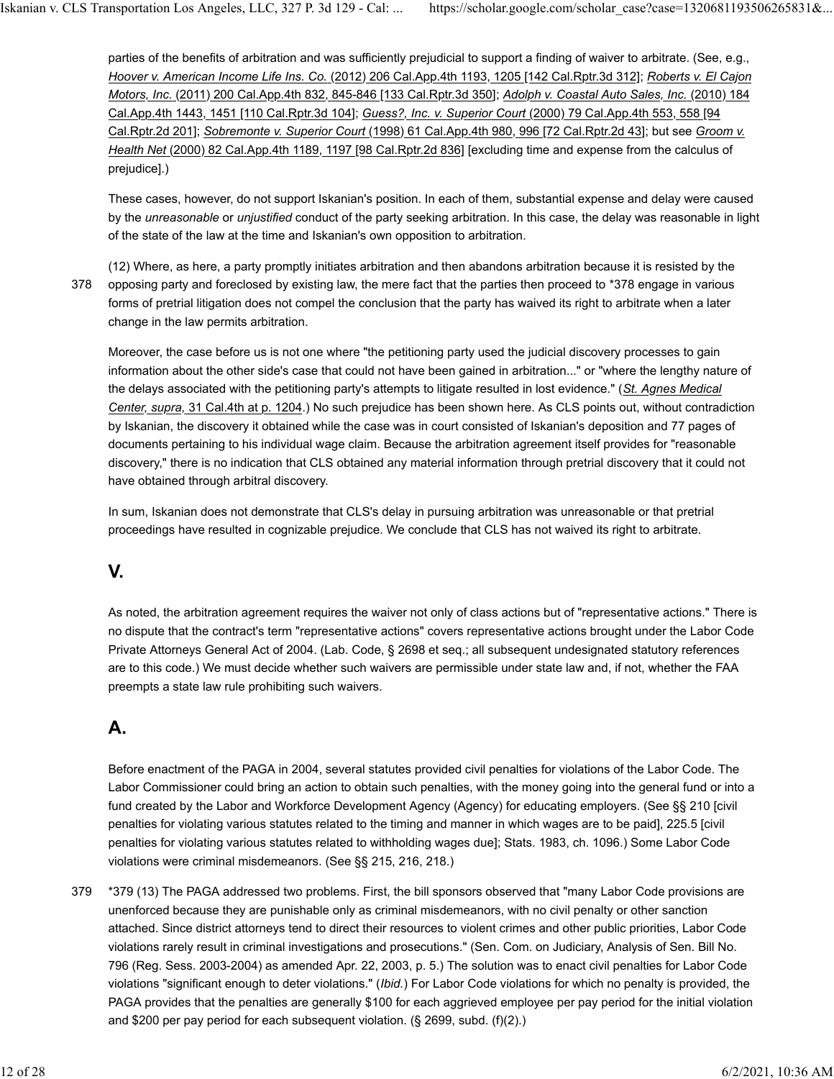parties of the benefits of arbitration and was sufficiently prejudicial to support a finding of waiver to arbitrate. (See, e.g., *Hoover v. American Income Life Ins. Co.* (2012) 206 Cal.App.4th 1193, 1205 [142 Cal.Rptr.3d 312]; *Roberts v. El Cajon Motors, Inc.* (2011) 200 Cal.App.4th 832, 845-846 [133 Cal.Rptr.3d 350]; *Adolph v. Coastal Auto Sales, Inc.* (2010) 184 Cal.App.4th 1443, 1451 [110 Cal.Rptr.3d 104]; *Guess?, Inc. v. Superior Court* (2000) 79 Cal.App.4th 553, 558 [94 Cal.Rptr.2d 201]; *Sobremonte v. Superior Court* (1998) 61 Cal.App.4th 980, 996 [72 Cal.Rptr.2d 43]; but see *Groom v. Health Net* (2000) 82 Cal.App.4th 1189, 1197 [98 Cal.Rptr.2d 836] [excluding time and expense from the calculus of prejudice].)

These cases, however, do not support Iskanian's position. In each of them, substantial expense and delay were caused by the *unreasonable* or *unjustified* conduct of the party seeking arbitration. In this case, the delay was reasonable in light of the state of the law at the time and Iskanian's own opposition to arbitration.

(12) Where, as here, a party promptly initiates arbitration and then abandons arbitration because it is resisted by the opposing party and foreclosed by existing law, the mere fact that the parties then proceed to \*378 engage in various forms of pretrial litigation does not compel the conclusion that the party has waived its right to arbitrate when a later change in the law permits arbitration. 378

Moreover, the case before us is not one where "the petitioning party used the judicial discovery processes to gain information about the other side's case that could not have been gained in arbitration..." or "where the lengthy nature of the delays associated with the petitioning party's attempts to litigate resulted in lost evidence." (*St. Agnes Medical Center, supra,* 31 Cal.4th at p. 1204.) No such prejudice has been shown here. As CLS points out, without contradiction by Iskanian, the discovery it obtained while the case was in court consisted of Iskanian's deposition and 77 pages of documents pertaining to his individual wage claim. Because the arbitration agreement itself provides for "reasonable discovery," there is no indication that CLS obtained any material information through pretrial discovery that it could not have obtained through arbitral discovery.

In sum, Iskanian does not demonstrate that CLS's delay in pursuing arbitration was unreasonable or that pretrial proceedings have resulted in cognizable prejudice. We conclude that CLS has not waived its right to arbitrate.

### **V.**

As noted, the arbitration agreement requires the waiver not only of class actions but of "representative actions." There is no dispute that the contract's term "representative actions" covers representative actions brought under the Labor Code Private Attorneys General Act of 2004. (Lab. Code, § 2698 et seq.; all subsequent undesignated statutory references are to this code.) We must decide whether such waivers are permissible under state law and, if not, whether the FAA preempts a state law rule prohibiting such waivers.

# **A.**

Before enactment of the PAGA in 2004, several statutes provided civil penalties for violations of the Labor Code. The Labor Commissioner could bring an action to obtain such penalties, with the money going into the general fund or into a fund created by the Labor and Workforce Development Agency (Agency) for educating employers. (See §§ 210 [civil penalties for violating various statutes related to the timing and manner in which wages are to be paid], 225.5 [civil penalties for violating various statutes related to withholding wages due]; Stats. 1983, ch. 1096.) Some Labor Code violations were criminal misdemeanors. (See §§ 215, 216, 218.)

\*379 (13) The PAGA addressed two problems. First, the bill sponsors observed that "many Labor Code provisions are unenforced because they are punishable only as criminal misdemeanors, with no civil penalty or other sanction attached. Since district attorneys tend to direct their resources to violent crimes and other public priorities, Labor Code violations rarely result in criminal investigations and prosecutions." (Sen. Com. on Judiciary, Analysis of Sen. Bill No. 796 (Reg. Sess. 2003-2004) as amended Apr. 22, 2003, p. 5.) The solution was to enact civil penalties for Labor Code violations "significant enough to deter violations." (*Ibid.*) For Labor Code violations for which no penalty is provided, the PAGA provides that the penalties are generally \$100 for each aggrieved employee per pay period for the initial violation and \$200 per pay period for each subsequent violation. (§ 2699, subd. (f)(2).) 379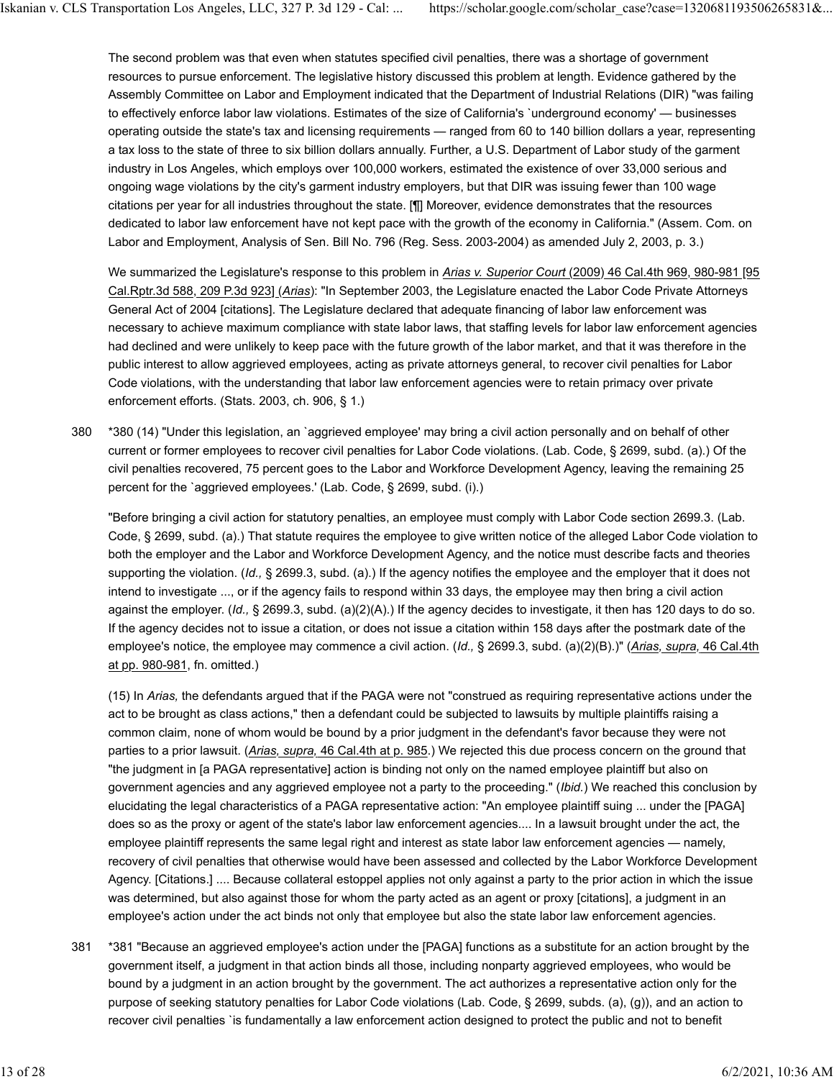The second problem was that even when statutes specified civil penalties, there was a shortage of government resources to pursue enforcement. The legislative history discussed this problem at length. Evidence gathered by the Assembly Committee on Labor and Employment indicated that the Department of Industrial Relations (DIR) "was failing to effectively enforce labor law violations. Estimates of the size of California's `underground economy' — businesses operating outside the state's tax and licensing requirements — ranged from 60 to 140 billion dollars a year, representing a tax loss to the state of three to six billion dollars annually. Further, a U.S. Department of Labor study of the garment industry in Los Angeles, which employs over 100,000 workers, estimated the existence of over 33,000 serious and ongoing wage violations by the city's garment industry employers, but that DIR was issuing fewer than 100 wage citations per year for all industries throughout the state. [¶] Moreover, evidence demonstrates that the resources dedicated to labor law enforcement have not kept pace with the growth of the economy in California." (Assem. Com. on Labor and Employment, Analysis of Sen. Bill No. 796 (Reg. Sess. 2003-2004) as amended July 2, 2003, p. 3.)

We summarized the Legislature's response to this problem in *Arias v. Superior Court* (2009) 46 Cal.4th 969, 980-981 [95 Cal.Rptr.3d 588, 209 P.3d 923] (*Arias*): "In September 2003, the Legislature enacted the Labor Code Private Attorneys General Act of 2004 [citations]. The Legislature declared that adequate financing of labor law enforcement was necessary to achieve maximum compliance with state labor laws, that staffing levels for labor law enforcement agencies had declined and were unlikely to keep pace with the future growth of the labor market, and that it was therefore in the public interest to allow aggrieved employees, acting as private attorneys general, to recover civil penalties for Labor Code violations, with the understanding that labor law enforcement agencies were to retain primacy over private enforcement efforts. (Stats. 2003, ch. 906, § 1.)

\*380 (14) "Under this legislation, an `aggrieved employee' may bring a civil action personally and on behalf of other current or former employees to recover civil penalties for Labor Code violations. (Lab. Code, § 2699, subd. (a).) Of the civil penalties recovered, 75 percent goes to the Labor and Workforce Development Agency, leaving the remaining 25 percent for the `aggrieved employees.' (Lab. Code, § 2699, subd. (i).) 380

"Before bringing a civil action for statutory penalties, an employee must comply with Labor Code section 2699.3. (Lab. Code, § 2699, subd. (a).) That statute requires the employee to give written notice of the alleged Labor Code violation to both the employer and the Labor and Workforce Development Agency, and the notice must describe facts and theories supporting the violation. (*Id.,* § 2699.3, subd. (a).) If the agency notifies the employee and the employer that it does not intend to investigate ..., or if the agency fails to respond within 33 days, the employee may then bring a civil action against the employer. (*Id.,* § 2699.3, subd. (a)(2)(A).) If the agency decides to investigate, it then has 120 days to do so. If the agency decides not to issue a citation, or does not issue a citation within 158 days after the postmark date of the employee's notice, the employee may commence a civil action. (*Id.,* § 2699.3, subd. (a)(2)(B).)" (*Arias, supra,* 46 Cal.4th at pp. 980-981, fn. omitted.)

(15) In *Arias,* the defendants argued that if the PAGA were not "construed as requiring representative actions under the act to be brought as class actions," then a defendant could be subjected to lawsuits by multiple plaintiffs raising a common claim, none of whom would be bound by a prior judgment in the defendant's favor because they were not parties to a prior lawsuit. (*Arias, supra,* 46 Cal.4th at p. 985.) We rejected this due process concern on the ground that "the judgment in [a PAGA representative] action is binding not only on the named employee plaintiff but also on government agencies and any aggrieved employee not a party to the proceeding." (*Ibid.*) We reached this conclusion by elucidating the legal characteristics of a PAGA representative action: "An employee plaintiff suing ... under the [PAGA] does so as the proxy or agent of the state's labor law enforcement agencies.... In a lawsuit brought under the act, the employee plaintiff represents the same legal right and interest as state labor law enforcement agencies — namely, recovery of civil penalties that otherwise would have been assessed and collected by the Labor Workforce Development Agency. [Citations.] .... Because collateral estoppel applies not only against a party to the prior action in which the issue was determined, but also against those for whom the party acted as an agent or proxy [citations], a judgment in an employee's action under the act binds not only that employee but also the state labor law enforcement agencies.

\*381 "Because an aggrieved employee's action under the [PAGA] functions as a substitute for an action brought by the government itself, a judgment in that action binds all those, including nonparty aggrieved employees, who would be bound by a judgment in an action brought by the government. The act authorizes a representative action only for the purpose of seeking statutory penalties for Labor Code violations (Lab. Code, § 2699, subds. (a), (g)), and an action to recover civil penalties `is fundamentally a law enforcement action designed to protect the public and not to benefit 381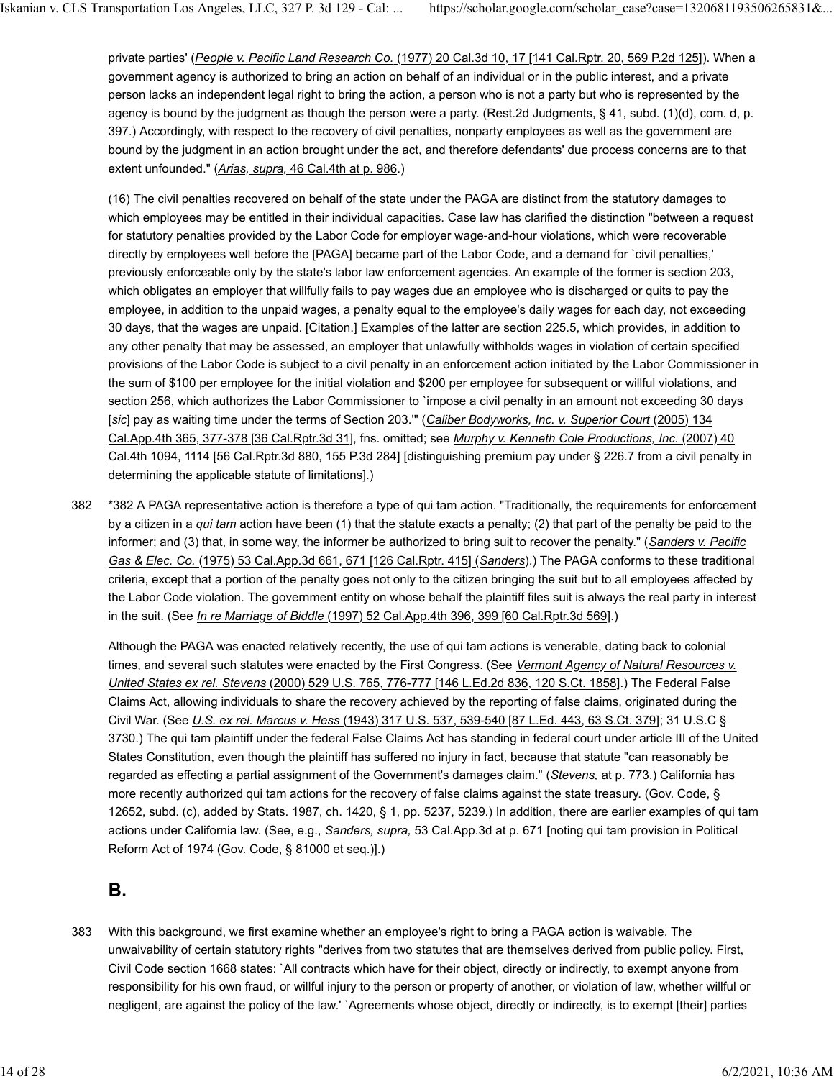private parties' (*People v. Pacific Land Research Co.* (1977) 20 Cal.3d 10, 17 [141 Cal.Rptr. 20, 569 P.2d 125]). When a government agency is authorized to bring an action on behalf of an individual or in the public interest, and a private person lacks an independent legal right to bring the action, a person who is not a party but who is represented by the agency is bound by the judgment as though the person were a party. (Rest.2d Judgments, § 41, subd. (1)(d), com. d, p. 397.) Accordingly, with respect to the recovery of civil penalties, nonparty employees as well as the government are bound by the judgment in an action brought under the act, and therefore defendants' due process concerns are to that extent unfounded." (*Arias, supra,* 46 Cal.4th at p. 986.)

(16) The civil penalties recovered on behalf of the state under the PAGA are distinct from the statutory damages to which employees may be entitled in their individual capacities. Case law has clarified the distinction "between a request for statutory penalties provided by the Labor Code for employer wage-and-hour violations, which were recoverable directly by employees well before the [PAGA] became part of the Labor Code, and a demand for `civil penalties,' previously enforceable only by the state's labor law enforcement agencies. An example of the former is section 203, which obligates an employer that willfully fails to pay wages due an employee who is discharged or quits to pay the employee, in addition to the unpaid wages, a penalty equal to the employee's daily wages for each day, not exceeding 30 days, that the wages are unpaid. [Citation.] Examples of the latter are section 225.5, which provides, in addition to any other penalty that may be assessed, an employer that unlawfully withholds wages in violation of certain specified provisions of the Labor Code is subject to a civil penalty in an enforcement action initiated by the Labor Commissioner in the sum of \$100 per employee for the initial violation and \$200 per employee for subsequent or willful violations, and section 256, which authorizes the Labor Commissioner to `impose a civil penalty in an amount not exceeding 30 days [*sic*] pay as waiting time under the terms of Section 203.'" (*Caliber Bodyworks, Inc. v. Superior Court* (2005) 134 Cal.App.4th 365, 377-378 [36 Cal.Rptr.3d 31], fns. omitted; see *Murphy v. Kenneth Cole Productions, Inc.* (2007) 40 Cal.4th 1094, 1114 [56 Cal.Rptr.3d 880, 155 P.3d 284] [distinguishing premium pay under § 226.7 from a civil penalty in determining the applicable statute of limitations].)

\*382 A PAGA representative action is therefore a type of qui tam action. "Traditionally, the requirements for enforcement by a citizen in a *qui tam* action have been (1) that the statute exacts a penalty; (2) that part of the penalty be paid to the informer; and (3) that, in some way, the informer be authorized to bring suit to recover the penalty." (*Sanders v. Pacific Gas & Elec. Co.* (1975) 53 Cal.App.3d 661, 671 [126 Cal.Rptr. 415] (*Sanders*).) The PAGA conforms to these traditional criteria, except that a portion of the penalty goes not only to the citizen bringing the suit but to all employees affected by the Labor Code violation. The government entity on whose behalf the plaintiff files suit is always the real party in interest in the suit. (See *In re Marriage of Biddle* (1997) 52 Cal.App.4th 396, 399 [60 Cal.Rptr.3d 569].) 382

Although the PAGA was enacted relatively recently, the use of qui tam actions is venerable, dating back to colonial times, and several such statutes were enacted by the First Congress. (See *Vermont Agency of Natural Resources v. United States ex rel. Stevens* (2000) 529 U.S. 765, 776-777 [146 L.Ed.2d 836, 120 S.Ct. 1858].) The Federal False Claims Act, allowing individuals to share the recovery achieved by the reporting of false claims, originated during the Civil War. (See *U.S. ex rel. Marcus v. Hess* (1943) 317 U.S. 537, 539-540 [87 L.Ed. 443, 63 S.Ct. 379]; 31 U.S.C § 3730.) The qui tam plaintiff under the federal False Claims Act has standing in federal court under article III of the United States Constitution, even though the plaintiff has suffered no injury in fact, because that statute "can reasonably be regarded as effecting a partial assignment of the Government's damages claim." (*Stevens,* at p. 773.) California has more recently authorized qui tam actions for the recovery of false claims against the state treasury. (Gov. Code, § 12652, subd. (c), added by Stats. 1987, ch. 1420, § 1, pp. 5237, 5239.) In addition, there are earlier examples of qui tam actions under California law. (See, e.g., *Sanders, supra,* 53 Cal.App.3d at p. 671 [noting qui tam provision in Political Reform Act of 1974 (Gov. Code, § 81000 et seq.)].)

### **B.**

With this background, we first examine whether an employee's right to bring a PAGA action is waivable. The unwaivability of certain statutory rights "derives from two statutes that are themselves derived from public policy. First, Civil Code section 1668 states: `All contracts which have for their object, directly or indirectly, to exempt anyone from responsibility for his own fraud, or willful injury to the person or property of another, or violation of law, whether willful or negligent, are against the policy of the law.' `Agreements whose object, directly or indirectly, is to exempt [their] parties 383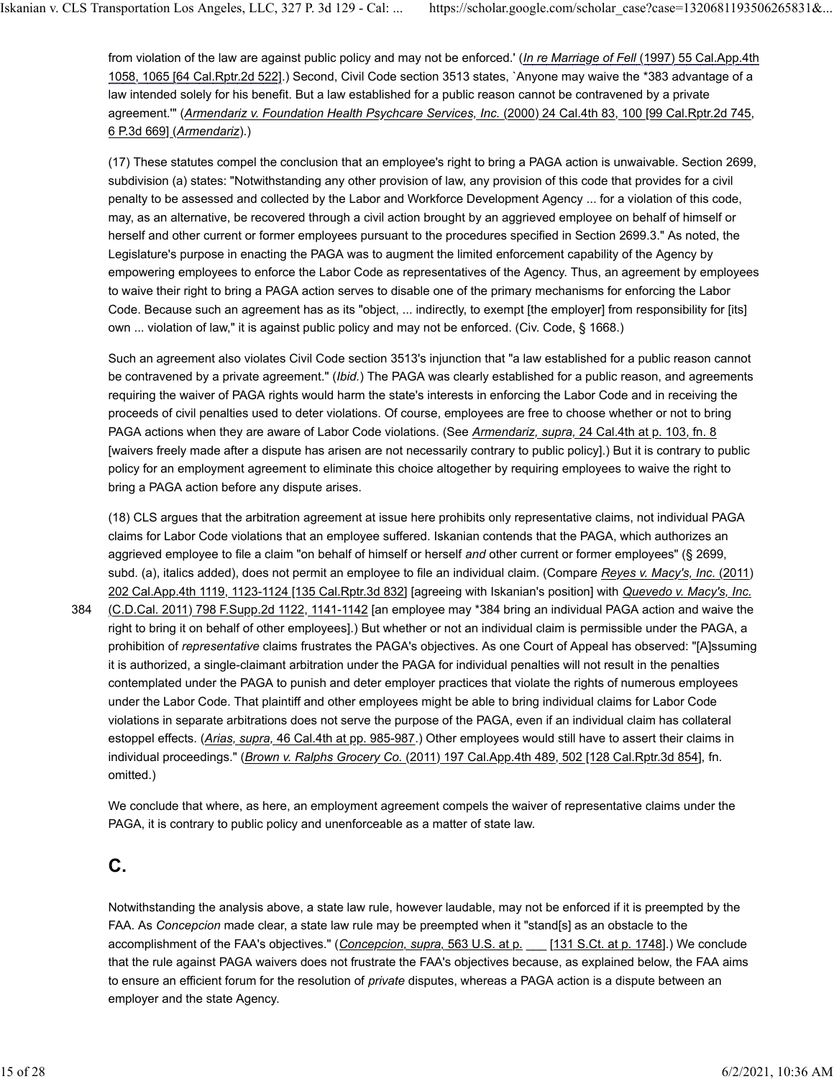from violation of the law are against public policy and may not be enforced.' (*In re Marriage of Fell* (1997) 55 Cal.App.4th 1058, 1065 [64 Cal.Rptr.2d 522].) Second, Civil Code section 3513 states, `Anyone may waive the \*383 advantage of a law intended solely for his benefit. But a law established for a public reason cannot be contravened by a private agreement.'" (*Armendariz v. Foundation Health Psychcare Services, Inc.* (2000) 24 Cal.4th 83, 100 [99 Cal.Rptr.2d 745, 6 P.3d 669] (*Armendariz*).)

(17) These statutes compel the conclusion that an employee's right to bring a PAGA action is unwaivable. Section 2699, subdivision (a) states: "Notwithstanding any other provision of law, any provision of this code that provides for a civil penalty to be assessed and collected by the Labor and Workforce Development Agency ... for a violation of this code, may, as an alternative, be recovered through a civil action brought by an aggrieved employee on behalf of himself or herself and other current or former employees pursuant to the procedures specified in Section 2699.3." As noted, the Legislature's purpose in enacting the PAGA was to augment the limited enforcement capability of the Agency by empowering employees to enforce the Labor Code as representatives of the Agency. Thus, an agreement by employees to waive their right to bring a PAGA action serves to disable one of the primary mechanisms for enforcing the Labor Code. Because such an agreement has as its "object, ... indirectly, to exempt [the employer] from responsibility for [its] own ... violation of law," it is against public policy and may not be enforced. (Civ. Code, § 1668.)

Such an agreement also violates Civil Code section 3513's injunction that "a law established for a public reason cannot be contravened by a private agreement." (*Ibid.*) The PAGA was clearly established for a public reason, and agreements requiring the waiver of PAGA rights would harm the state's interests in enforcing the Labor Code and in receiving the proceeds of civil penalties used to deter violations. Of course, employees are free to choose whether or not to bring PAGA actions when they are aware of Labor Code violations. (See *Armendariz, supra,* 24 Cal.4th at p. 103, fn. 8 [waivers freely made after a dispute has arisen are not necessarily contrary to public policy].) But it is contrary to public policy for an employment agreement to eliminate this choice altogether by requiring employees to waive the right to bring a PAGA action before any dispute arises.

(18) CLS argues that the arbitration agreement at issue here prohibits only representative claims, not individual PAGA claims for Labor Code violations that an employee suffered. Iskanian contends that the PAGA, which authorizes an aggrieved employee to file a claim "on behalf of himself or herself *and* other current or former employees" (§ 2699, subd. (a), italics added), does not permit an employee to file an individual claim. (Compare *Reyes v. Macy's, Inc.* (2011) 202 Cal.App.4th 1119, 1123-1124 [135 Cal.Rptr.3d 832] [agreeing with Iskanian's position] with *Quevedo v. Macy's, Inc.*

(C.D.Cal. 2011) 798 F.Supp.2d 1122, 1141-1142 [an employee may \*384 bring an individual PAGA action and waive the right to bring it on behalf of other employees].) But whether or not an individual claim is permissible under the PAGA, a prohibition of *representative* claims frustrates the PAGA's objectives. As one Court of Appeal has observed: "[A]ssuming it is authorized, a single-claimant arbitration under the PAGA for individual penalties will not result in the penalties contemplated under the PAGA to punish and deter employer practices that violate the rights of numerous employees under the Labor Code. That plaintiff and other employees might be able to bring individual claims for Labor Code violations in separate arbitrations does not serve the purpose of the PAGA, even if an individual claim has collateral estoppel effects. (*Arias, supra,* 46 Cal.4th at pp. 985-987.) Other employees would still have to assert their claims in individual proceedings." (*Brown v. Ralphs Grocery Co.* (2011) 197 Cal.App.4th 489, 502 [128 Cal.Rptr.3d 854], fn. omitted.) 384

We conclude that where, as here, an employment agreement compels the waiver of representative claims under the PAGA, it is contrary to public policy and unenforceable as a matter of state law.

#### **C.**

Notwithstanding the analysis above, a state law rule, however laudable, may not be enforced if it is preempted by the FAA. As *Concepcion* made clear, a state law rule may be preempted when it "stand[s] as an obstacle to the accomplishment of the FAA's objectives." (*Concepcion, supra,* 563 U.S. at p. \_\_\_ [131 S.Ct. at p. 1748].) We conclude that the rule against PAGA waivers does not frustrate the FAA's objectives because, as explained below, the FAA aims to ensure an efficient forum for the resolution of *private* disputes, whereas a PAGA action is a dispute between an employer and the state Agency.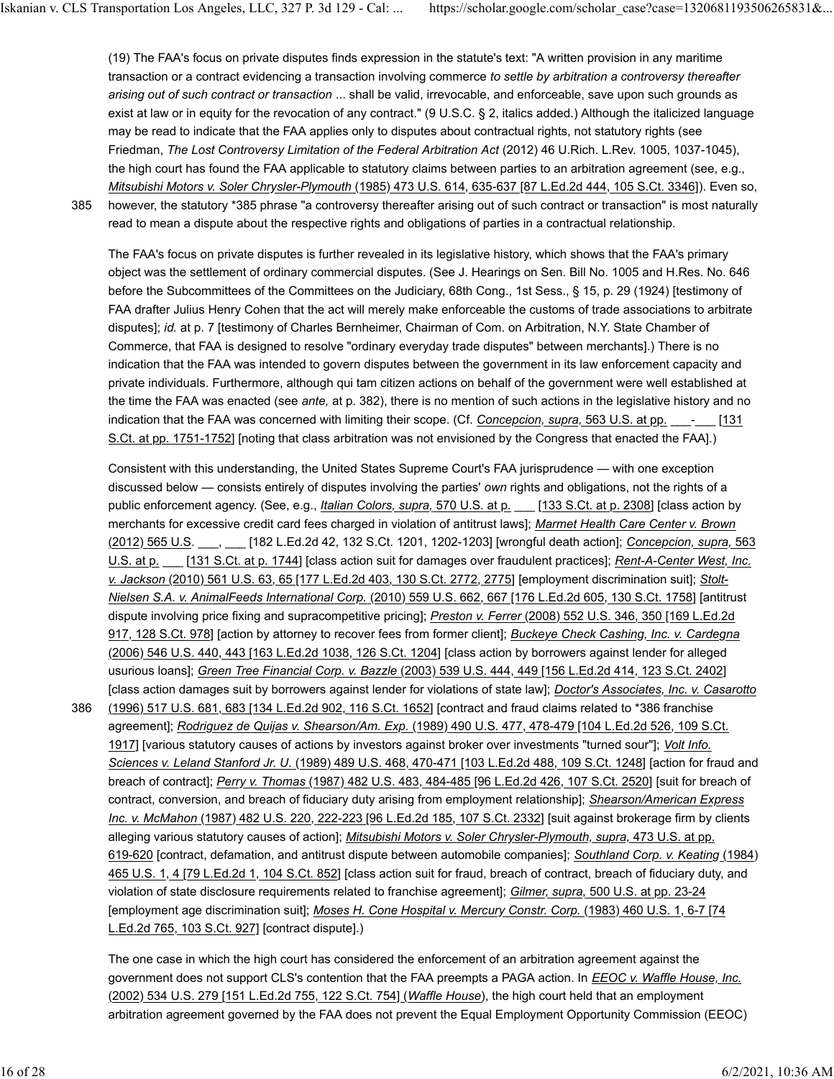(19) The FAA's focus on private disputes finds expression in the statute's text: "A written provision in any maritime transaction or a contract evidencing a transaction involving commerce *to settle by arbitration a controversy thereafter arising out of such contract or transaction* ... shall be valid, irrevocable, and enforceable, save upon such grounds as exist at law or in equity for the revocation of any contract." (9 U.S.C. § 2, italics added.) Although the italicized language may be read to indicate that the FAA applies only to disputes about contractual rights, not statutory rights (see Friedman, *The Lost Controversy Limitation of the Federal Arbitration Act* (2012) 46 U.Rich. L.Rev. 1005, 1037-1045), the high court has found the FAA applicable to statutory claims between parties to an arbitration agreement (see, e.g., *Mitsubishi Motors v. Soler Chrysler-Plymouth* (1985) 473 U.S. 614, 635-637 [87 L.Ed.2d 444, 105 S.Ct. 3346]). Even so,

385

however, the statutory \*385 phrase "a controversy thereafter arising out of such contract or transaction" is most naturally read to mean a dispute about the respective rights and obligations of parties in a contractual relationship.

The FAA's focus on private disputes is further revealed in its legislative history, which shows that the FAA's primary object was the settlement of ordinary commercial disputes. (See J. Hearings on Sen. Bill No. 1005 and H.Res. No. 646 before the Subcommittees of the Committees on the Judiciary, 68th Cong., 1st Sess., § 15, p. 29 (1924) [testimony of FAA drafter Julius Henry Cohen that the act will merely make enforceable the customs of trade associations to arbitrate disputes]; *id.* at p. 7 [testimony of Charles Bernheimer, Chairman of Com. on Arbitration, N.Y. State Chamber of Commerce, that FAA is designed to resolve "ordinary everyday trade disputes" between merchants].) There is no indication that the FAA was intended to govern disputes between the government in its law enforcement capacity and private individuals. Furthermore, although qui tam citizen actions on behalf of the government were well established at the time the FAA was enacted (see *ante,* at p. 382), there is no mention of such actions in the legislative history and no indication that the FAA was concerned with limiting their scope. (Cf. *Concepcion, supra,* 563 U.S. at pp. \_\_\_-\_\_\_ [131 S.Ct. at pp. 1751-1752] [noting that class arbitration was not envisioned by the Congress that enacted the FAA].)

Consistent with this understanding, the United States Supreme Court's FAA jurisprudence — with one exception discussed below — consists entirely of disputes involving the parties' *own* rights and obligations, not the rights of a public enforcement agency. (See, e.g., *Italian Colors, supra,* 570 U.S. at p. \_\_\_ [133 S.Ct. at p. 2308] [class action by merchants for excessive credit card fees charged in violation of antitrust laws]; *Marmet Health Care Center v. Brown* (2012) 565 U.S. \_\_\_, \_\_\_ [182 L.Ed.2d 42, 132 S.Ct. 1201, 1202-1203] [wrongful death action]; *Concepcion, supra,* 563 U.S. at p. \_\_\_ [131 S.Ct. at p. 1744] [class action suit for damages over fraudulent practices]; *Rent-A-Center West, Inc. v. Jackson* (2010) 561 U.S. 63, 65 [177 L.Ed.2d 403, 130 S.Ct. 2772, 2775] [employment discrimination suit]; *Stolt-Nielsen S.A. v. AnimalFeeds International Corp.* (2010) 559 U.S. 662, 667 [176 L.Ed.2d 605, 130 S.Ct. 1758] [antitrust dispute involving price fixing and supracompetitive pricing]; *Preston v. Ferrer* (2008) 552 U.S. 346, 350 [169 L.Ed.2d 917, 128 S.Ct. 978] [action by attorney to recover fees from former client]; *Buckeye Check Cashing, Inc. v. Cardegna* (2006) 546 U.S. 440, 443 [163 L.Ed.2d 1038, 126 S.Ct. 1204] [class action by borrowers against lender for alleged usurious loans]; *Green Tree Financial Corp. v. Bazzle* (2003) 539 U.S. 444, 449 [156 L.Ed.2d 414, 123 S.Ct. 2402] [class action damages suit by borrowers against lender for violations of state law]; *Doctor's Associates, Inc. v. Casarotto*

(1996) 517 U.S. 681, 683 [134 L.Ed.2d 902, 116 S.Ct. 1652] [contract and fraud claims related to \*386 franchise agreement]; *Rodriguez de Quijas v. Shearson/Am. Exp.* (1989) 490 U.S. 477, 478-479 [104 L.Ed.2d 526, 109 S.Ct. 1917] [various statutory causes of actions by investors against broker over investments "turned sour"]; *Volt Info. Sciences v. Leland Stanford Jr. U.* (1989) 489 U.S. 468, 470-471 [103 L.Ed.2d 488, 109 S.Ct. 1248] [action for fraud and breach of contract]; *Perry v. Thomas* (1987) 482 U.S. 483, 484-485 [96 L.Ed.2d 426, 107 S.Ct. 2520] [suit for breach of contract, conversion, and breach of fiduciary duty arising from employment relationship]; *Shearson/American Express Inc. v. McMahon* (1987) 482 U.S. 220, 222-223 [96 L.Ed.2d 185, 107 S.Ct. 2332] [suit against brokerage firm by clients alleging various statutory causes of action]; *Mitsubishi Motors v. Soler Chrysler-Plymouth, supra,* 473 U.S. at pp. 619-620 [contract, defamation, and antitrust dispute between automobile companies]; *Southland Corp. v. Keating* (1984) 465 U.S. 1, 4 [79 L.Ed.2d 1, 104 S.Ct. 852] [class action suit for fraud, breach of contract, breach of fiduciary duty, and violation of state disclosure requirements related to franchise agreement]; *Gilmer, supra,* 500 U.S. at pp. 23-24 [employment age discrimination suit]; *Moses H. Cone Hospital v. Mercury Constr. Corp.* (1983) 460 U.S. 1, 6-7 [74 L.Ed.2d 765, 103 S.Ct. 927] [contract dispute].) 386

The one case in which the high court has considered the enforcement of an arbitration agreement against the government does not support CLS's contention that the FAA preempts a PAGA action. In *EEOC v. Waffle House, Inc.* (2002) 534 U.S. 279 [151 L.Ed.2d 755, 122 S.Ct. 754] (*Waffle House*), the high court held that an employment arbitration agreement governed by the FAA does not prevent the Equal Employment Opportunity Commission (EEOC)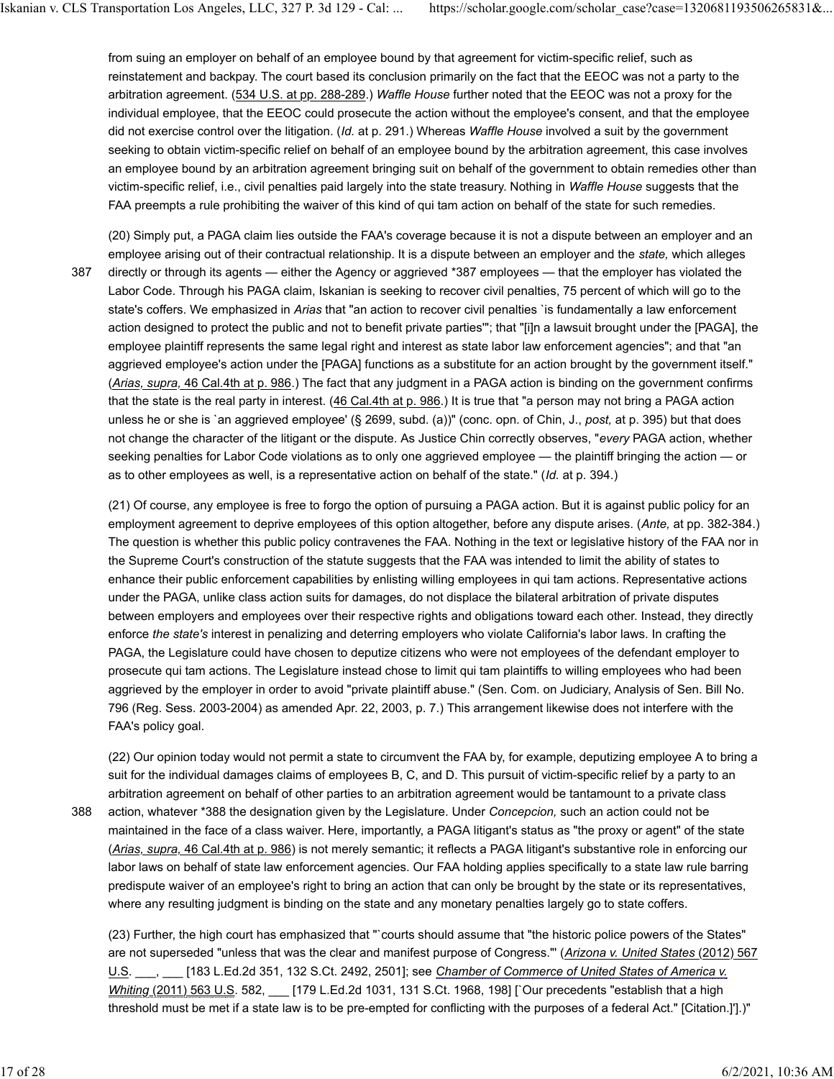from suing an employer on behalf of an employee bound by that agreement for victim-specific relief, such as reinstatement and backpay. The court based its conclusion primarily on the fact that the EEOC was not a party to the arbitration agreement. (534 U.S. at pp. 288-289.) *Waffle House* further noted that the EEOC was not a proxy for the individual employee, that the EEOC could prosecute the action without the employee's consent, and that the employee did not exercise control over the litigation. (*Id.* at p. 291.) Whereas *Waffle House* involved a suit by the government seeking to obtain victim-specific relief on behalf of an employee bound by the arbitration agreement, this case involves an employee bound by an arbitration agreement bringing suit on behalf of the government to obtain remedies other than victim-specific relief, i.e., civil penalties paid largely into the state treasury. Nothing in *Waffle House* suggests that the FAA preempts a rule prohibiting the waiver of this kind of qui tam action on behalf of the state for such remedies.

(20) Simply put, a PAGA claim lies outside the FAA's coverage because it is not a dispute between an employer and an employee arising out of their contractual relationship. It is a dispute between an employer and the *state,* which alleges directly or through its agents — either the Agency or aggrieved \*387 employees — that the employer has violated the Labor Code. Through his PAGA claim, Iskanian is seeking to recover civil penalties, 75 percent of which will go to the state's coffers. We emphasized in *Arias* that "an action to recover civil penalties `is fundamentally a law enforcement action designed to protect the public and not to benefit private parties'"; that "[i]n a lawsuit brought under the [PAGA], the employee plaintiff represents the same legal right and interest as state labor law enforcement agencies"; and that "an aggrieved employee's action under the [PAGA] functions as a substitute for an action brought by the government itself." (*Arias, supra,* 46 Cal.4th at p. 986.) The fact that any judgment in a PAGA action is binding on the government confirms that the state is the real party in interest. (46 Cal.4th at p. 986.) It is true that "a person may not bring a PAGA action unless he or she is `an aggrieved employee' (§ 2699, subd. (a))" (conc. opn. of Chin, J., *post,* at p. 395) but that does not change the character of the litigant or the dispute. As Justice Chin correctly observes, "*every* PAGA action, whether seeking penalties for Labor Code violations as to only one aggrieved employee — the plaintiff bringing the action — or as to other employees as well, is a representative action on behalf of the state." (*Id.* at p. 394.) 387

(21) Of course, any employee is free to forgo the option of pursuing a PAGA action. But it is against public policy for an employment agreement to deprive employees of this option altogether, before any dispute arises. (*Ante,* at pp. 382-384.) The question is whether this public policy contravenes the FAA. Nothing in the text or legislative history of the FAA nor in the Supreme Court's construction of the statute suggests that the FAA was intended to limit the ability of states to enhance their public enforcement capabilities by enlisting willing employees in qui tam actions. Representative actions under the PAGA, unlike class action suits for damages, do not displace the bilateral arbitration of private disputes between employers and employees over their respective rights and obligations toward each other. Instead, they directly enforce *the state's* interest in penalizing and deterring employers who violate California's labor laws. In crafting the PAGA, the Legislature could have chosen to deputize citizens who were not employees of the defendant employer to prosecute qui tam actions. The Legislature instead chose to limit qui tam plaintiffs to willing employees who had been aggrieved by the employer in order to avoid "private plaintiff abuse." (Sen. Com. on Judiciary, Analysis of Sen. Bill No. 796 (Reg. Sess. 2003-2004) as amended Apr. 22, 2003, p. 7.) This arrangement likewise does not interfere with the FAA's policy goal.

(22) Our opinion today would not permit a state to circumvent the FAA by, for example, deputizing employee A to bring a suit for the individual damages claims of employees B, C, and D. This pursuit of victim-specific relief by a party to an arbitration agreement on behalf of other parties to an arbitration agreement would be tantamount to a private class

388

action, whatever \*388 the designation given by the Legislature. Under *Concepcion,* such an action could not be maintained in the face of a class waiver. Here, importantly, a PAGA litigant's status as "the proxy or agent" of the state (*Arias, supra,* 46 Cal.4th at p. 986) is not merely semantic; it reflects a PAGA litigant's substantive role in enforcing our labor laws on behalf of state law enforcement agencies. Our FAA holding applies specifically to a state law rule barring predispute waiver of an employee's right to bring an action that can only be brought by the state or its representatives, where any resulting judgment is binding on the state and any monetary penalties largely go to state coffers.

(23) Further, the high court has emphasized that "`courts should assume that "the historic police powers of the States" are not superseded "unless that was the clear and manifest purpose of Congress."' (*Arizona v. United States* (2012) 567 U.S. \_\_\_, \_\_\_ [183 L.Ed.2d 351, 132 S.Ct. 2492, 2501]; see *Chamber of Commerce of United States of America v. Whiting* (2011) 563 U.S. 582, \_\_\_ [179 L.Ed.2d 1031, 131 S.Ct. 1968, 198] [`Our precedents "establish that a high threshold must be met if a state law is to be pre-empted for conflicting with the purposes of a federal Act." [Citation.]'].)"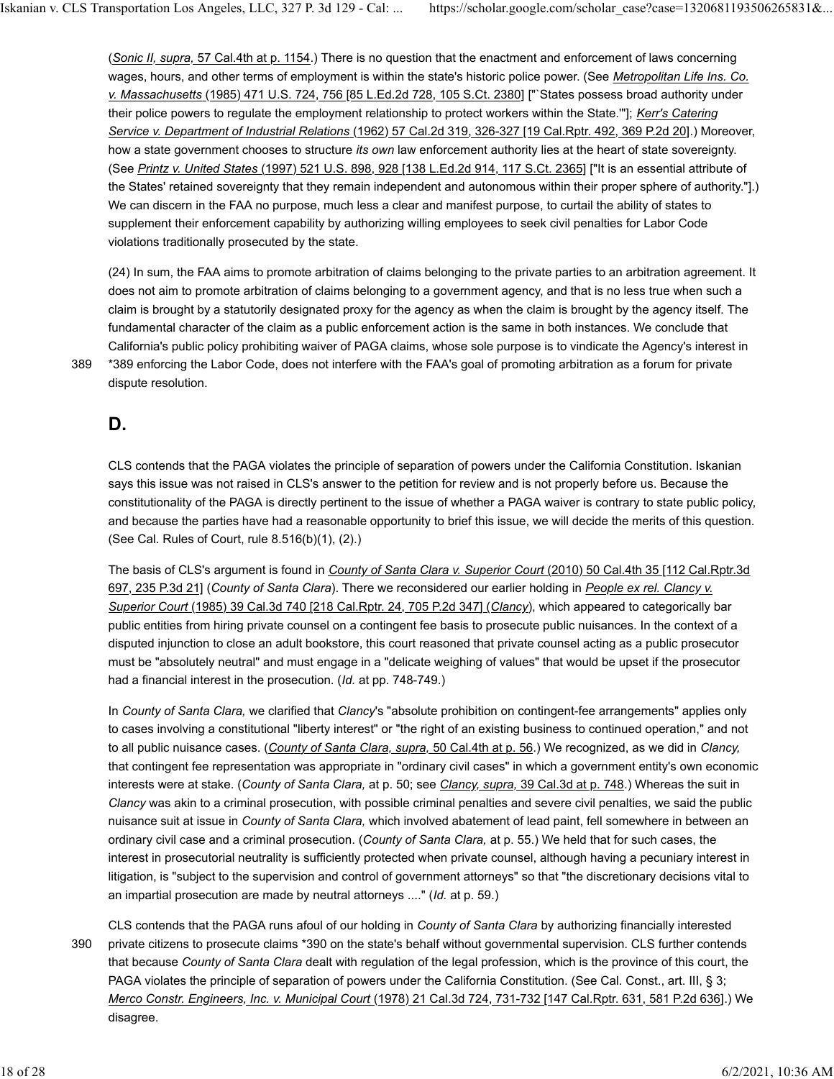(*Sonic II, supra,* 57 Cal.4th at p. 1154.) There is no question that the enactment and enforcement of laws concerning wages, hours, and other terms of employment is within the state's historic police power. (See *Metropolitan Life Ins. Co. v. Massachusetts* (1985) 471 U.S. 724, 756 [85 L.Ed.2d 728, 105 S.Ct. 2380] ["`States possess broad authority under their police powers to regulate the employment relationship to protect workers within the State.'"]; *Kerr's Catering Service v. Department of Industrial Relations* (1962) 57 Cal.2d 319, 326-327 [19 Cal.Rptr. 492, 369 P.2d 20].) Moreover, how a state government chooses to structure *its own* law enforcement authority lies at the heart of state sovereignty. (See *Printz v. United States* (1997) 521 U.S. 898, 928 [138 L.Ed.2d 914, 117 S.Ct. 2365] ["It is an essential attribute of the States' retained sovereignty that they remain independent and autonomous within their proper sphere of authority."].) We can discern in the FAA no purpose, much less a clear and manifest purpose, to curtail the ability of states to supplement their enforcement capability by authorizing willing employees to seek civil penalties for Labor Code violations traditionally prosecuted by the state.

(24) In sum, the FAA aims to promote arbitration of claims belonging to the private parties to an arbitration agreement. It does not aim to promote arbitration of claims belonging to a government agency, and that is no less true when such a claim is brought by a statutorily designated proxy for the agency as when the claim is brought by the agency itself. The fundamental character of the claim as a public enforcement action is the same in both instances. We conclude that California's public policy prohibiting waiver of PAGA claims, whose sole purpose is to vindicate the Agency's interest in \*389 enforcing the Labor Code, does not interfere with the FAA's goal of promoting arbitration as a forum for private dispute resolution.

389

# **D.**

CLS contends that the PAGA violates the principle of separation of powers under the California Constitution. Iskanian says this issue was not raised in CLS's answer to the petition for review and is not properly before us. Because the constitutionality of the PAGA is directly pertinent to the issue of whether a PAGA waiver is contrary to state public policy, and because the parties have had a reasonable opportunity to brief this issue, we will decide the merits of this question. (See Cal. Rules of Court, rule 8.516(b)(1), (2).)

The basis of CLS's argument is found in *County of Santa Clara v. Superior Court* (2010) 50 Cal.4th 35 [112 Cal.Rptr.3d 697, 235 P.3d 21] (*County of Santa Clara*). There we reconsidered our earlier holding in *People ex rel. Clancy v. Superior Court* (1985) 39 Cal.3d 740 [218 Cal.Rptr. 24, 705 P.2d 347] (*Clancy*), which appeared to categorically bar public entities from hiring private counsel on a contingent fee basis to prosecute public nuisances. In the context of a disputed injunction to close an adult bookstore, this court reasoned that private counsel acting as a public prosecutor must be "absolutely neutral" and must engage in a "delicate weighing of values" that would be upset if the prosecutor had a financial interest in the prosecution. (*Id.* at pp. 748-749.)

In *County of Santa Clara,* we clarified that *Clancy*'s "absolute prohibition on contingent-fee arrangements" applies only to cases involving a constitutional "liberty interest" or "the right of an existing business to continued operation," and not to all public nuisance cases. (*County of Santa Clara, supra,* 50 Cal.4th at p. 56.) We recognized, as we did in *Clancy,* that contingent fee representation was appropriate in "ordinary civil cases" in which a government entity's own economic interests were at stake. (*County of Santa Clara,* at p. 50; see *Clancy, supra,* 39 Cal.3d at p. 748.) Whereas the suit in *Clancy* was akin to a criminal prosecution, with possible criminal penalties and severe civil penalties, we said the public nuisance suit at issue in *County of Santa Clara,* which involved abatement of lead paint, fell somewhere in between an ordinary civil case and a criminal prosecution. (*County of Santa Clara,* at p. 55.) We held that for such cases, the interest in prosecutorial neutrality is sufficiently protected when private counsel, although having a pecuniary interest in litigation, is "subject to the supervision and control of government attorneys" so that "the discretionary decisions vital to an impartial prosecution are made by neutral attorneys ...." (*Id.* at p. 59.)

CLS contends that the PAGA runs afoul of our holding in *County of Santa Clara* by authorizing financially interested private citizens to prosecute claims \*390 on the state's behalf without governmental supervision. CLS further contends that because *County of Santa Clara* dealt with regulation of the legal profession, which is the province of this court, the PAGA violates the principle of separation of powers under the California Constitution. (See Cal. Const., art. III, § 3; *Merco Constr. Engineers, Inc. v. Municipal Court* (1978) 21 Cal.3d 724, 731-732 [147 Cal.Rptr. 631, 581 P.2d 636].) We disagree. 390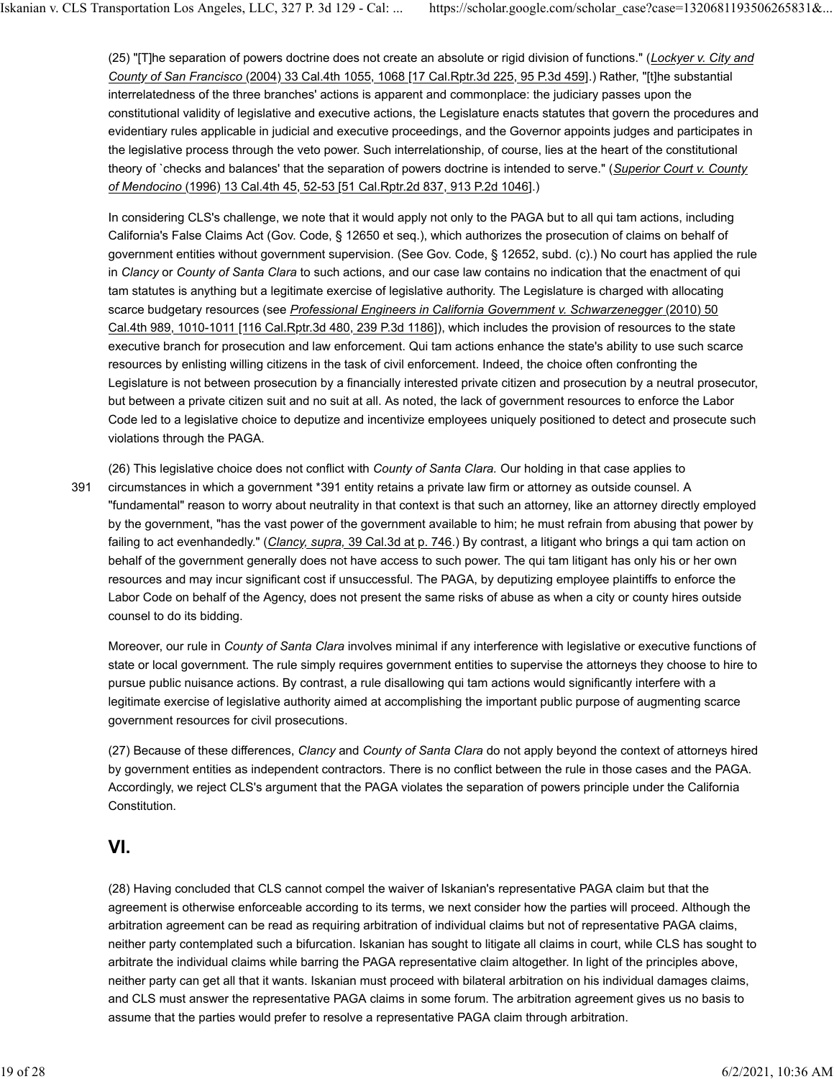(25) "[T]he separation of powers doctrine does not create an absolute or rigid division of functions." (*Lockyer v. City and County of San Francisco* (2004) 33 Cal.4th 1055, 1068 [17 Cal.Rptr.3d 225, 95 P.3d 459].) Rather, "[t]he substantial interrelatedness of the three branches' actions is apparent and commonplace: the judiciary passes upon the constitutional validity of legislative and executive actions, the Legislature enacts statutes that govern the procedures and evidentiary rules applicable in judicial and executive proceedings, and the Governor appoints judges and participates in the legislative process through the veto power. Such interrelationship, of course, lies at the heart of the constitutional theory of `checks and balances' that the separation of powers doctrine is intended to serve." (*Superior Court v. County of Mendocino* (1996) 13 Cal.4th 45, 52-53 [51 Cal.Rptr.2d 837, 913 P.2d 1046].)

In considering CLS's challenge, we note that it would apply not only to the PAGA but to all qui tam actions, including California's False Claims Act (Gov. Code, § 12650 et seq.), which authorizes the prosecution of claims on behalf of government entities without government supervision. (See Gov. Code, § 12652, subd. (c).) No court has applied the rule in *Clancy* or *County of Santa Clara* to such actions, and our case law contains no indication that the enactment of qui tam statutes is anything but a legitimate exercise of legislative authority. The Legislature is charged with allocating scarce budgetary resources (see *Professional Engineers in California Government v. Schwarzenegger* (2010) 50 Cal.4th 989, 1010-1011 [116 Cal.Rptr.3d 480, 239 P.3d 1186]), which includes the provision of resources to the state executive branch for prosecution and law enforcement. Qui tam actions enhance the state's ability to use such scarce resources by enlisting willing citizens in the task of civil enforcement. Indeed, the choice often confronting the Legislature is not between prosecution by a financially interested private citizen and prosecution by a neutral prosecutor, but between a private citizen suit and no suit at all. As noted, the lack of government resources to enforce the Labor Code led to a legislative choice to deputize and incentivize employees uniquely positioned to detect and prosecute such violations through the PAGA.

(26) This legislative choice does not conflict with *County of Santa Clara.* Our holding in that case applies to circumstances in which a government \*391 entity retains a private law firm or attorney as outside counsel. A "fundamental" reason to worry about neutrality in that context is that such an attorney, like an attorney directly employed by the government, "has the vast power of the government available to him; he must refrain from abusing that power by failing to act evenhandedly." (*Clancy, supra,* 39 Cal.3d at p. 746.) By contrast, a litigant who brings a qui tam action on behalf of the government generally does not have access to such power. The qui tam litigant has only his or her own resources and may incur significant cost if unsuccessful. The PAGA, by deputizing employee plaintiffs to enforce the Labor Code on behalf of the Agency, does not present the same risks of abuse as when a city or county hires outside counsel to do its bidding. 391

Moreover, our rule in *County of Santa Clara* involves minimal if any interference with legislative or executive functions of state or local government. The rule simply requires government entities to supervise the attorneys they choose to hire to pursue public nuisance actions. By contrast, a rule disallowing qui tam actions would significantly interfere with a legitimate exercise of legislative authority aimed at accomplishing the important public purpose of augmenting scarce government resources for civil prosecutions.

(27) Because of these differences, *Clancy* and *County of Santa Clara* do not apply beyond the context of attorneys hired by government entities as independent contractors. There is no conflict between the rule in those cases and the PAGA. Accordingly, we reject CLS's argument that the PAGA violates the separation of powers principle under the California Constitution.

### **VI.**

(28) Having concluded that CLS cannot compel the waiver of Iskanian's representative PAGA claim but that the agreement is otherwise enforceable according to its terms, we next consider how the parties will proceed. Although the arbitration agreement can be read as requiring arbitration of individual claims but not of representative PAGA claims, neither party contemplated such a bifurcation. Iskanian has sought to litigate all claims in court, while CLS has sought to arbitrate the individual claims while barring the PAGA representative claim altogether. In light of the principles above, neither party can get all that it wants. Iskanian must proceed with bilateral arbitration on his individual damages claims, and CLS must answer the representative PAGA claims in some forum. The arbitration agreement gives us no basis to assume that the parties would prefer to resolve a representative PAGA claim through arbitration.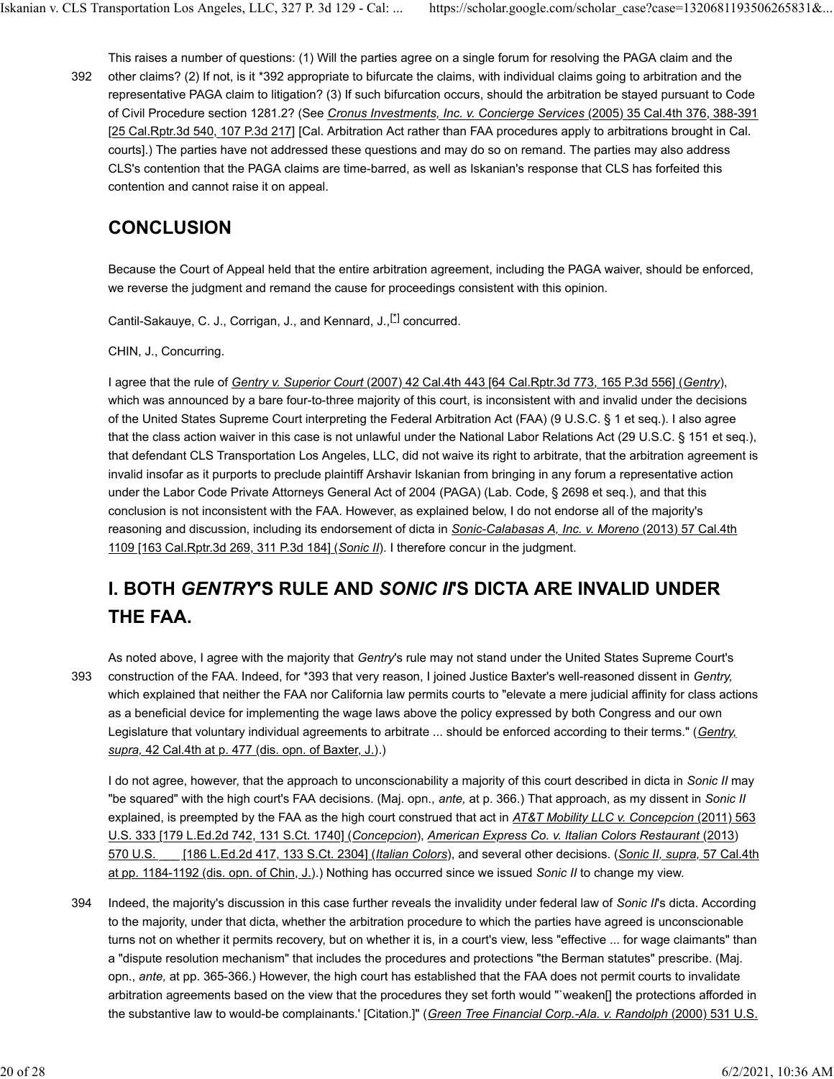This raises a number of questions: (1) Will the parties agree on a single forum for resolving the PAGA claim and the other claims? (2) If not, is it \*392 appropriate to bifurcate the claims, with individual claims going to arbitration and the representative PAGA claim to litigation? (3) If such bifurcation occurs, should the arbitration be stayed pursuant to Code of Civil Procedure section 1281.2? (See *Cronus Investments, Inc. v. Concierge Services* (2005) 35 Cal.4th 376, 388-391 [25 Cal.Rptr.3d 540, 107 P.3d 217] [Cal. Arbitration Act rather than FAA procedures apply to arbitrations brought in Cal. courts].) The parties have not addressed these questions and may do so on remand. The parties may also address CLS's contention that the PAGA claims are time-barred, as well as Iskanian's response that CLS has forfeited this contention and cannot raise it on appeal. 392

# **CONCLUSION**

Because the Court of Appeal held that the entire arbitration agreement, including the PAGA waiver, should be enforced, we reverse the judgment and remand the cause for proceedings consistent with this opinion.

Cantil-Sakauye, C. J., Corrigan, J., and Kennard, J.,[\*] concurred.

CHIN, J., Concurring.

I agree that the rule of *Gentry v. Superior Court* (2007) 42 Cal.4th 443 [64 Cal.Rptr.3d 773, 165 P.3d 556] (*Gentry*), which was announced by a bare four-to-three majority of this court, is inconsistent with and invalid under the decisions of the United States Supreme Court interpreting the Federal Arbitration Act (FAA) (9 U.S.C. § 1 et seq.). I also agree that the class action waiver in this case is not unlawful under the National Labor Relations Act (29 U.S.C. § 151 et seq.), that defendant CLS Transportation Los Angeles, LLC, did not waive its right to arbitrate, that the arbitration agreement is invalid insofar as it purports to preclude plaintiff Arshavir Iskanian from bringing in any forum a representative action under the Labor Code Private Attorneys General Act of 2004 (PAGA) (Lab. Code, § 2698 et seq.), and that this conclusion is not inconsistent with the FAA. However, as explained below, I do not endorse all of the majority's reasoning and discussion, including its endorsement of dicta in *Sonic-Calabasas A, Inc. v. Moreno* (2013) 57 Cal.4th 1109 [163 Cal.Rptr.3d 269, 311 P.3d 184] (*Sonic II*). I therefore concur in the judgment.

# **I. BOTH** *GENTRY***'S RULE AND** *SONIC II***'S DICTA ARE INVALID UNDER THE FAA.**

393

As noted above, I agree with the majority that *Gentry*'s rule may not stand under the United States Supreme Court's construction of the FAA. Indeed, for \*393 that very reason, I joined Justice Baxter's well-reasoned dissent in *Gentry,* which explained that neither the FAA nor California law permits courts to "elevate a mere judicial affinity for class actions as a beneficial device for implementing the wage laws above the policy expressed by both Congress and our own Legislature that voluntary individual agreements to arbitrate ... should be enforced according to their terms." (*Gentry, supra,* 42 Cal.4th at p. 477 (dis. opn. of Baxter, J.).)

I do not agree, however, that the approach to unconscionability a majority of this court described in dicta in *Sonic II* may "be squared" with the high court's FAA decisions. (Maj. opn., *ante,* at p. 366.) That approach, as my dissent in *Sonic II* explained, is preempted by the FAA as the high court construed that act in *AT&T Mobility LLC v. Concepcion* (2011) 563 U.S. 333 [179 L.Ed.2d 742, 131 S.Ct. 1740] (*Concepcion*), *American Express Co. v. Italian Colors Restaurant* (2013) 570 U.S. \_\_\_ [186 L.Ed.2d 417, 133 S.Ct. 2304] (*Italian Colors*), and several other decisions. (*Sonic II, supra,* 57 Cal.4th at pp. 1184-1192 (dis. opn. of Chin, J.).) Nothing has occurred since we issued *Sonic II* to change my view.

Indeed, the majority's discussion in this case further reveals the invalidity under federal law of *Sonic II*'s dicta. According to the majority, under that dicta, whether the arbitration procedure to which the parties have agreed is unconscionable turns not on whether it permits recovery, but on whether it is, in a court's view, less "effective ... for wage claimants" than a "dispute resolution mechanism" that includes the procedures and protections "the Berman statutes" prescribe. (Maj. opn., *ante,* at pp. 365-366.) However, the high court has established that the FAA does not permit courts to invalidate arbitration agreements based on the view that the procedures they set forth would "`weaken[] the protections afforded in the substantive law to would-be complainants.' [Citation.]" (*Green Tree Financial Corp.-Ala. v. Randolph* (2000) 531 U.S. 394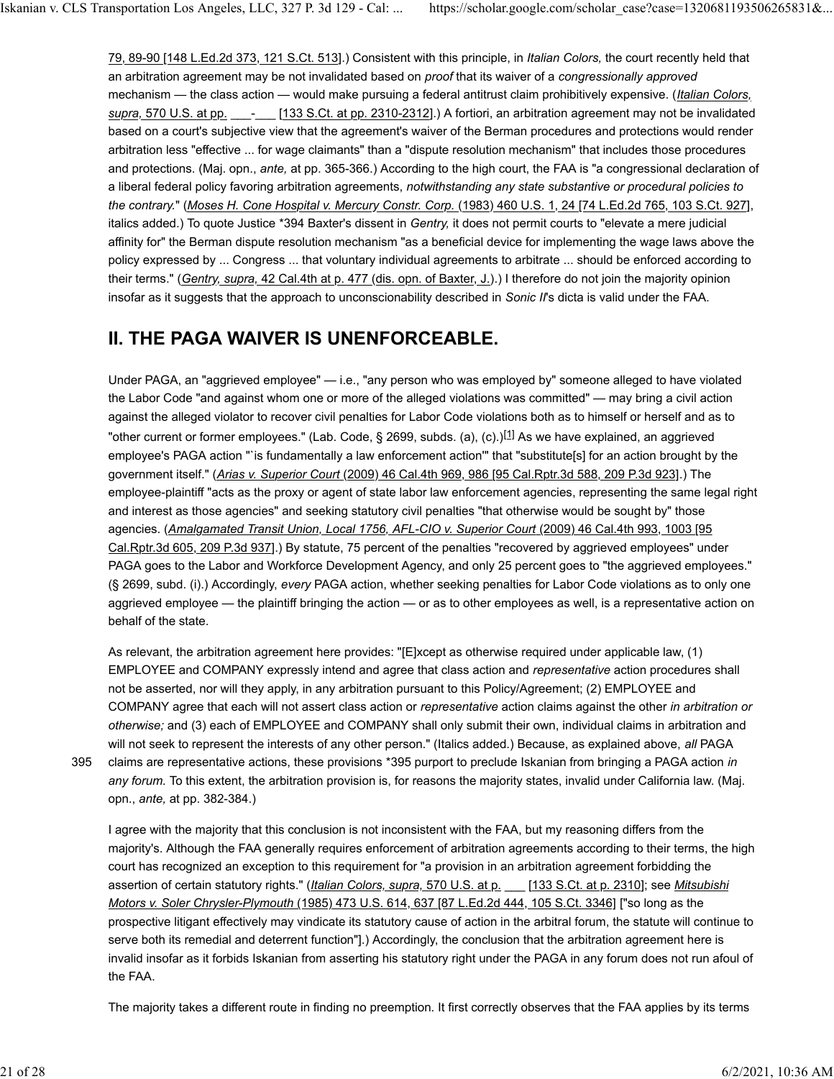79, 89-90 [148 L.Ed.2d 373, 121 S.Ct. 513].) Consistent with this principle, in *Italian Colors,* the court recently held that an arbitration agreement may be not invalidated based on *proof* that its waiver of a *congressionally approved* mechanism — the class action — would make pursuing a federal antitrust claim prohibitively expensive. (*Italian Colors, supra,* 570 U.S. at pp. \_\_\_-\_\_\_ [133 S.Ct. at pp. 2310-2312].) A fortiori, an arbitration agreement may not be invalidated based on a court's subjective view that the agreement's waiver of the Berman procedures and protections would render arbitration less "effective ... for wage claimants" than a "dispute resolution mechanism" that includes those procedures and protections. (Maj. opn., *ante,* at pp. 365-366.) According to the high court, the FAA is "a congressional declaration of a liberal federal policy favoring arbitration agreements, *notwithstanding any state substantive or procedural policies to the contrary.*" (*Moses H. Cone Hospital v. Mercury Constr. Corp.* (1983) 460 U.S. 1, 24 [74 L.Ed.2d 765, 103 S.Ct. 927], italics added.) To quote Justice \*394 Baxter's dissent in *Gentry,* it does not permit courts to "elevate a mere judicial affinity for" the Berman dispute resolution mechanism "as a beneficial device for implementing the wage laws above the policy expressed by ... Congress ... that voluntary individual agreements to arbitrate ... should be enforced according to their terms." (*Gentry, supra,* 42 Cal.4th at p. 477 (dis. opn. of Baxter, J.).) I therefore do not join the majority opinion insofar as it suggests that the approach to unconscionability described in *Sonic II*'s dicta is valid under the FAA.

# **II. THE PAGA WAIVER IS UNENFORCEABLE.**

Under PAGA, an "aggrieved employee" — i.e., "any person who was employed by" someone alleged to have violated the Labor Code "and against whom one or more of the alleged violations was committed" — may bring a civil action against the alleged violator to recover civil penalties for Labor Code violations both as to himself or herself and as to "other current or former employees." (Lab. Code,  $\S$  2699, subds. (a), (c).)<sup>[1]</sup> As we have explained, an aggrieved employee's PAGA action "`is fundamentally a law enforcement action'" that "substitute[s] for an action brought by the government itself." (*Arias v. Superior Court* (2009) 46 Cal.4th 969, 986 [95 Cal.Rptr.3d 588, 209 P.3d 923].) The employee-plaintiff "acts as the proxy or agent of state labor law enforcement agencies, representing the same legal right and interest as those agencies" and seeking statutory civil penalties "that otherwise would be sought by" those agencies. (*Amalgamated Transit Union, Local 1756, AFL-CIO v. Superior Court* (2009) 46 Cal.4th 993, 1003 [95 Cal.Rptr.3d 605, 209 P.3d 937].) By statute, 75 percent of the penalties "recovered by aggrieved employees" under PAGA goes to the Labor and Workforce Development Agency, and only 25 percent goes to "the aggrieved employees." (§ 2699, subd. (i).) Accordingly, *every* PAGA action, whether seeking penalties for Labor Code violations as to only one aggrieved employee — the plaintiff bringing the action — or as to other employees as well, is a representative action on behalf of the state.

As relevant, the arbitration agreement here provides: "[E]xcept as otherwise required under applicable law, (1) EMPLOYEE and COMPANY expressly intend and agree that class action and *representative* action procedures shall not be asserted, nor will they apply, in any arbitration pursuant to this Policy/Agreement; (2) EMPLOYEE and COMPANY agree that each will not assert class action or *representative* action claims against the other *in arbitration or otherwise;* and (3) each of EMPLOYEE and COMPANY shall only submit their own, individual claims in arbitration and will not seek to represent the interests of any other person." (Italics added.) Because, as explained above, *all* PAGA claims are representative actions, these provisions \*395 purport to preclude Iskanian from bringing a PAGA action *in any forum.* To this extent, the arbitration provision is, for reasons the majority states, invalid under California law. (Maj. opn., *ante,* at pp. 382-384.)

I agree with the majority that this conclusion is not inconsistent with the FAA, but my reasoning differs from the majority's. Although the FAA generally requires enforcement of arbitration agreements according to their terms, the high court has recognized an exception to this requirement for "a provision in an arbitration agreement forbidding the assertion of certain statutory rights." (*Italian Colors, supra,* 570 U.S. at p. \_\_\_ [133 S.Ct. at p. 2310]; see *Mitsubishi Motors v. Soler Chrysler-Plymouth* (1985) 473 U.S. 614, 637 [87 L.Ed.2d 444, 105 S.Ct. 3346] ["so long as the prospective litigant effectively may vindicate its statutory cause of action in the arbitral forum, the statute will continue to serve both its remedial and deterrent function"].) Accordingly, the conclusion that the arbitration agreement here is invalid insofar as it forbids Iskanian from asserting his statutory right under the PAGA in any forum does not run afoul of the FAA.

The majority takes a different route in finding no preemption. It first correctly observes that the FAA applies by its terms

395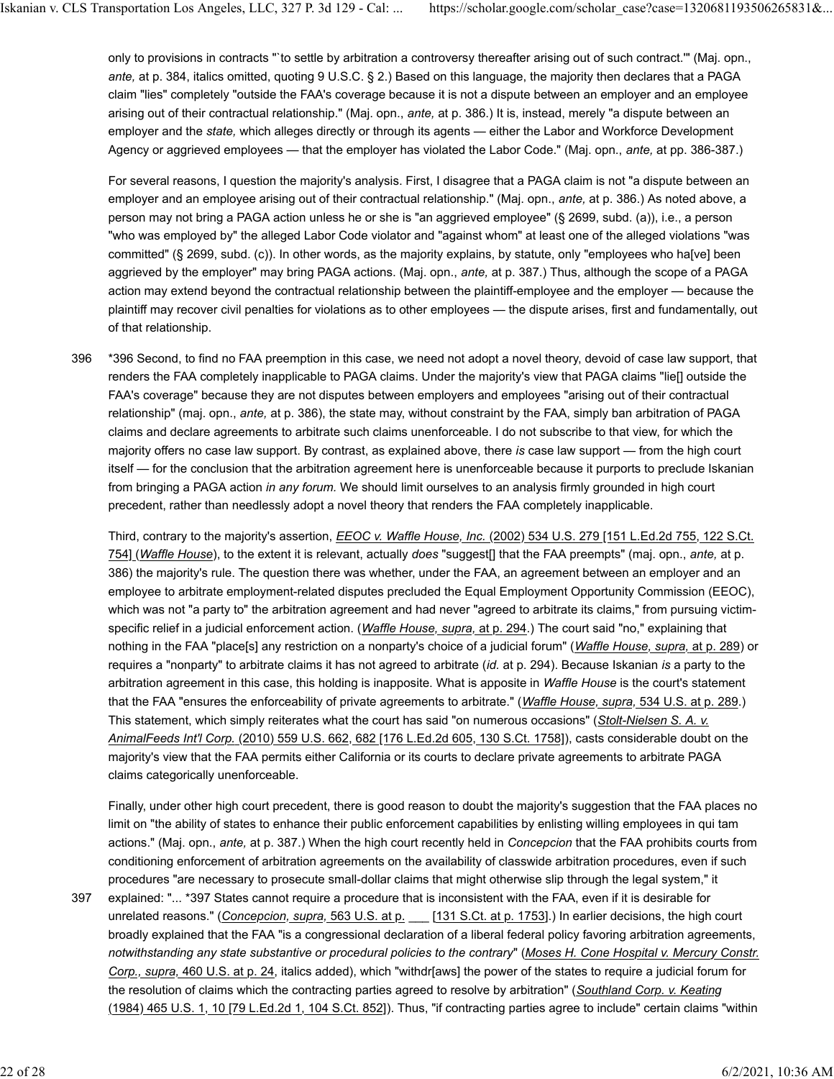only to provisions in contracts "`to settle by arbitration a controversy thereafter arising out of such contract.'" (Maj. opn., *ante,* at p. 384, italics omitted, quoting 9 U.S.C. § 2.) Based on this language, the majority then declares that a PAGA claim "lies" completely "outside the FAA's coverage because it is not a dispute between an employer and an employee arising out of their contractual relationship." (Maj. opn., *ante,* at p. 386.) It is, instead, merely "a dispute between an employer and the *state,* which alleges directly or through its agents — either the Labor and Workforce Development Agency or aggrieved employees — that the employer has violated the Labor Code." (Maj. opn., *ante,* at pp. 386-387.)

For several reasons, I question the majority's analysis. First, I disagree that a PAGA claim is not "a dispute between an employer and an employee arising out of their contractual relationship." (Maj. opn., *ante,* at p. 386.) As noted above, a person may not bring a PAGA action unless he or she is "an aggrieved employee" (§ 2699, subd. (a)), i.e., a person "who was employed by" the alleged Labor Code violator and "against whom" at least one of the alleged violations "was committed" (§ 2699, subd. (c)). In other words, as the majority explains, by statute, only "employees who ha[ve] been aggrieved by the employer" may bring PAGA actions. (Maj. opn., *ante,* at p. 387.) Thus, although the scope of a PAGA action may extend beyond the contractual relationship between the plaintiff-employee and the employer — because the plaintiff may recover civil penalties for violations as to other employees — the dispute arises, first and fundamentally, out of that relationship.

\*396 Second, to find no FAA preemption in this case, we need not adopt a novel theory, devoid of case law support, that renders the FAA completely inapplicable to PAGA claims. Under the majority's view that PAGA claims "lie[] outside the FAA's coverage" because they are not disputes between employers and employees "arising out of their contractual relationship" (maj. opn., *ante,* at p. 386), the state may, without constraint by the FAA, simply ban arbitration of PAGA claims and declare agreements to arbitrate such claims unenforceable. I do not subscribe to that view, for which the majority offers no case law support. By contrast, as explained above, there *is* case law support — from the high court itself — for the conclusion that the arbitration agreement here is unenforceable because it purports to preclude Iskanian from bringing a PAGA action *in any forum.* We should limit ourselves to an analysis firmly grounded in high court precedent, rather than needlessly adopt a novel theory that renders the FAA completely inapplicable. 396

Third, contrary to the majority's assertion, *EEOC v. Waffle House, Inc.* (2002) 534 U.S. 279 [151 L.Ed.2d 755, 122 S.Ct. 754] (*Waffle House*), to the extent it is relevant, actually *does* "suggest[] that the FAA preempts" (maj. opn., *ante,* at p. 386) the majority's rule. The question there was whether, under the FAA, an agreement between an employer and an employee to arbitrate employment-related disputes precluded the Equal Employment Opportunity Commission (EEOC), which was not "a party to" the arbitration agreement and had never "agreed to arbitrate its claims," from pursuing victimspecific relief in a judicial enforcement action. (*Waffle House, supra,* at p. 294.) The court said "no," explaining that nothing in the FAA "place[s] any restriction on a nonparty's choice of a judicial forum" (*Waffle House, supra,* at p. 289) or requires a "nonparty" to arbitrate claims it has not agreed to arbitrate (*id.* at p. 294). Because Iskanian *is* a party to the arbitration agreement in this case, this holding is inapposite. What is apposite in *Waffle House* is the court's statement that the FAA "ensures the enforceability of private agreements to arbitrate." (*Waffle House, supra,* 534 U.S. at p. 289.) This statement, which simply reiterates what the court has said "on numerous occasions" (*Stolt-Nielsen S. A. v. AnimalFeeds Int'l Corp.* (2010) 559 U.S. 662, 682 [176 L.Ed.2d 605, 130 S.Ct. 1758]), casts considerable doubt on the majority's view that the FAA permits either California or its courts to declare private agreements to arbitrate PAGA claims categorically unenforceable.

Finally, under other high court precedent, there is good reason to doubt the majority's suggestion that the FAA places no limit on "the ability of states to enhance their public enforcement capabilities by enlisting willing employees in qui tam actions." (Maj. opn., *ante,* at p. 387.) When the high court recently held in *Concepcion* that the FAA prohibits courts from conditioning enforcement of arbitration agreements on the availability of classwide arbitration procedures, even if such procedures "are necessary to prosecute small-dollar claims that might otherwise slip through the legal system," it explained: "... \*397 States cannot require a procedure that is inconsistent with the FAA, even if it is desirable for unrelated reasons." (*Concepcion, supra,* 563 U.S. at p. \_\_\_ [131 S.Ct. at p. 1753].) In earlier decisions, the high court broadly explained that the FAA "is a congressional declaration of a liberal federal policy favoring arbitration agreements, *notwithstanding any state substantive or procedural policies to the contrary*" (*Moses H. Cone Hospital v. Mercury Constr.*

*Corp., supra,* 460 U.S. at p. 24, italics added), which "withdr[aws] the power of the states to require a judicial forum for the resolution of claims which the contracting parties agreed to resolve by arbitration" (*Southland Corp. v. Keating* (1984) 465 U.S. 1, 10 [79 L.Ed.2d 1, 104 S.Ct. 852]). Thus, "if contracting parties agree to include" certain claims "within

397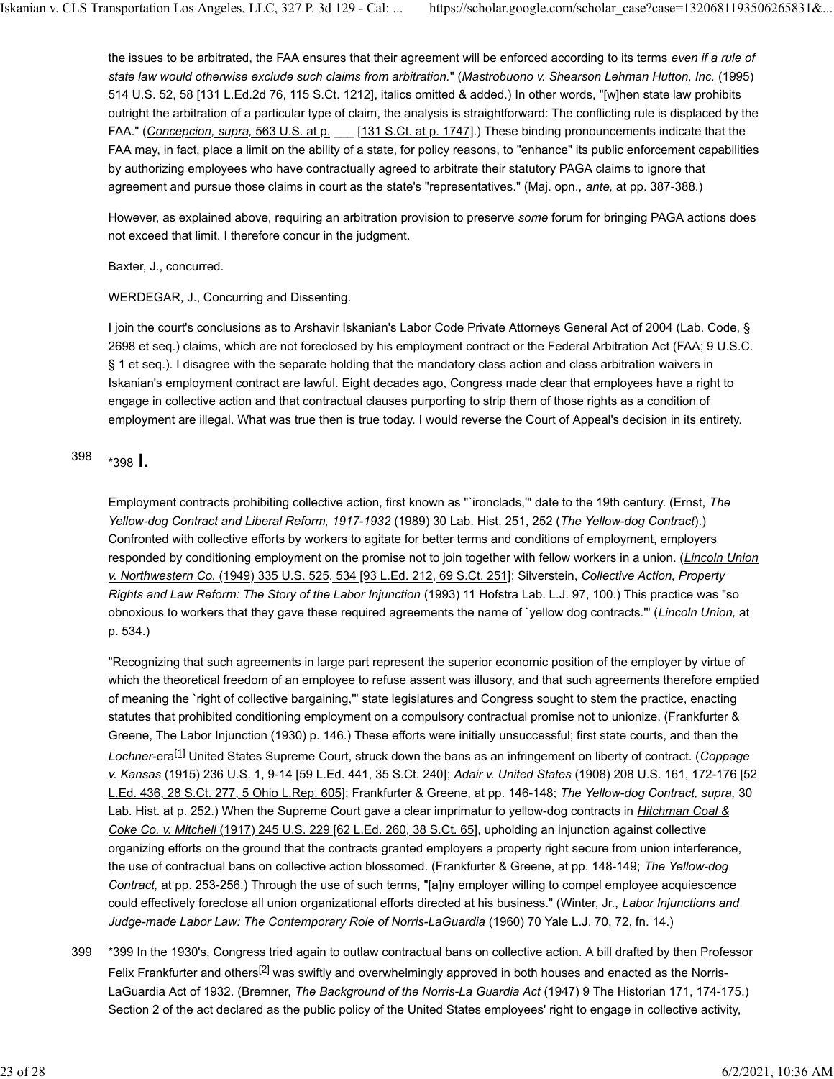the issues to be arbitrated, the FAA ensures that their agreement will be enforced according to its terms *even if a rule of state law would otherwise exclude such claims from arbitration.*" (*Mastrobuono v. Shearson Lehman Hutton, Inc.* (1995) 514 U.S. 52, 58 [131 L.Ed.2d 76, 115 S.Ct. 1212], italics omitted & added.) In other words, "[w]hen state law prohibits outright the arbitration of a particular type of claim, the analysis is straightforward: The conflicting rule is displaced by the FAA." (Concepcion, supra, 563 U.S. at p. \_\_\_ [131 S.Ct. at p. 1747].) These binding pronouncements indicate that the FAA may, in fact, place a limit on the ability of a state, for policy reasons, to "enhance" its public enforcement capabilities by authorizing employees who have contractually agreed to arbitrate their statutory PAGA claims to ignore that agreement and pursue those claims in court as the state's "representatives." (Maj. opn., *ante,* at pp. 387-388.)

However, as explained above, requiring an arbitration provision to preserve *some* forum for bringing PAGA actions does not exceed that limit. I therefore concur in the judgment.

Baxter, J., concurred.

WERDEGAR, J., Concurring and Dissenting.

I join the court's conclusions as to Arshavir Iskanian's Labor Code Private Attorneys General Act of 2004 (Lab. Code, § 2698 et seq.) claims, which are not foreclosed by his employment contract or the Federal Arbitration Act (FAA; 9 U.S.C. § 1 et seq.). I disagree with the separate holding that the mandatory class action and class arbitration waivers in Iskanian's employment contract are lawful. Eight decades ago, Congress made clear that employees have a right to engage in collective action and that contractual clauses purporting to strip them of those rights as a condition of employment are illegal. What was true then is true today. I would reverse the Court of Appeal's decision in its entirety.

\*398 **I.** <sup>398</sup>

Employment contracts prohibiting collective action, first known as "`ironclads,'" date to the 19th century. (Ernst, *The Yellow-dog Contract and Liberal Reform, 1917-1932* (1989) 30 Lab. Hist. 251, 252 (*The Yellow-dog Contract*).) Confronted with collective efforts by workers to agitate for better terms and conditions of employment, employers responded by conditioning employment on the promise not to join together with fellow workers in a union. (*Lincoln Union v. Northwestern Co.* (1949) 335 U.S. 525, 534 [93 L.Ed. 212, 69 S.Ct. 251]; Silverstein, *Collective Action, Property Rights and Law Reform: The Story of the Labor Injunction* (1993) 11 Hofstra Lab. L.J. 97, 100.) This practice was "so obnoxious to workers that they gave these required agreements the name of `yellow dog contracts.'" (*Lincoln Union,* at p. 534.)

"Recognizing that such agreements in large part represent the superior economic position of the employer by virtue of which the theoretical freedom of an employee to refuse assent was illusory, and that such agreements therefore emptied of meaning the `right of collective bargaining,'" state legislatures and Congress sought to stem the practice, enacting statutes that prohibited conditioning employment on a compulsory contractual promise not to unionize. (Frankfurter & Greene, The Labor Injunction (1930) p. 146.) These efforts were initially unsuccessful; first state courts, and then the *Lochner*-era[1] United States Supreme Court, struck down the bans as an infringement on liberty of contract. (*Coppage v. Kansas* (1915) 236 U.S. 1, 9-14 [59 L.Ed. 441, 35 S.Ct. 240]; *Adair v. United States* (1908) 208 U.S. 161, 172-176 [52 L.Ed. 436, 28 S.Ct. 277, 5 Ohio L.Rep. 605]; Frankfurter & Greene, at pp. 146-148; *The Yellow-dog Contract, supra,* 30 Lab. Hist. at p. 252.) When the Supreme Court gave a clear imprimatur to yellow-dog contracts in *Hitchman Coal & Coke Co. v. Mitchell* (1917) 245 U.S. 229 [62 L.Ed. 260, 38 S.Ct. 65], upholding an injunction against collective organizing efforts on the ground that the contracts granted employers a property right secure from union interference, the use of contractual bans on collective action blossomed. (Frankfurter & Greene, at pp. 148-149; *The Yellow-dog Contract,* at pp. 253-256.) Through the use of such terms, "[a]ny employer willing to compel employee acquiescence could effectively foreclose all union organizational efforts directed at his business." (Winter, Jr., *Labor Injunctions and Judge-made Labor Law: The Contemporary Role of Norris-LaGuardia* (1960) 70 Yale L.J. 70, 72, fn. 14.)

\*399 In the 1930's, Congress tried again to outlaw contractual bans on collective action. A bill drafted by then Professor Felix Frankfurter and others<sup>[2]</sup> was swiftly and overwhelmingly approved in both houses and enacted as the Norris-LaGuardia Act of 1932. (Bremner, *The Background of the Norris-La Guardia Act* (1947) 9 The Historian 171, 174-175.) Section 2 of the act declared as the public policy of the United States employees' right to engage in collective activity, 399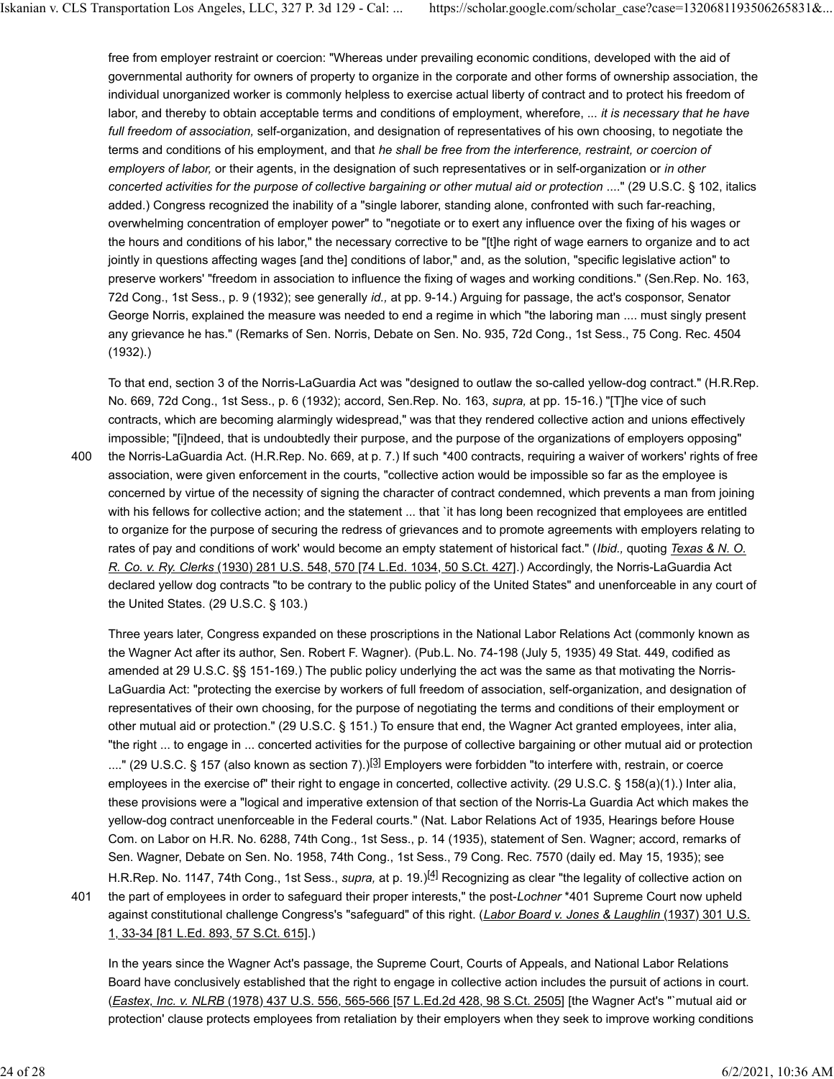free from employer restraint or coercion: "Whereas under prevailing economic conditions, developed with the aid of governmental authority for owners of property to organize in the corporate and other forms of ownership association, the individual unorganized worker is commonly helpless to exercise actual liberty of contract and to protect his freedom of labor, and thereby to obtain acceptable terms and conditions of employment, wherefore, ... *it is necessary that he have full freedom of association,* self-organization, and designation of representatives of his own choosing, to negotiate the terms and conditions of his employment, and that *he shall be free from the interference, restraint, or coercion of employers of labor,* or their agents, in the designation of such representatives or in self-organization or *in other concerted activities for the purpose of collective bargaining or other mutual aid or protection* ...." (29 U.S.C. § 102, italics added.) Congress recognized the inability of a "single laborer, standing alone, confronted with such far-reaching, overwhelming concentration of employer power" to "negotiate or to exert any influence over the fixing of his wages or the hours and conditions of his labor," the necessary corrective to be "[t]he right of wage earners to organize and to act jointly in questions affecting wages [and the] conditions of labor," and, as the solution, "specific legislative action" to preserve workers' "freedom in association to influence the fixing of wages and working conditions." (Sen.Rep. No. 163, 72d Cong., 1st Sess., p. 9 (1932); see generally *id.,* at pp. 9-14.) Arguing for passage, the act's cosponsor, Senator George Norris, explained the measure was needed to end a regime in which "the laboring man .... must singly present any grievance he has." (Remarks of Sen. Norris, Debate on Sen. No. 935, 72d Cong., 1st Sess., 75 Cong. Rec. 4504 (1932).)

To that end, section 3 of the Norris-LaGuardia Act was "designed to outlaw the so-called yellow-dog contract." (H.R.Rep. No. 669, 72d Cong., 1st Sess., p. 6 (1932); accord, Sen.Rep. No. 163, *supra,* at pp. 15-16.) "[T]he vice of such contracts, which are becoming alarmingly widespread," was that they rendered collective action and unions effectively impossible; "[i]ndeed, that is undoubtedly their purpose, and the purpose of the organizations of employers opposing"

the Norris-LaGuardia Act. (H.R.Rep. No. 669, at p. 7.) If such \*400 contracts, requiring a waiver of workers' rights of free association, were given enforcement in the courts, "collective action would be impossible so far as the employee is concerned by virtue of the necessity of signing the character of contract condemned, which prevents a man from joining with his fellows for collective action; and the statement ... that 'it has long been recognized that employees are entitled to organize for the purpose of securing the redress of grievances and to promote agreements with employers relating to rates of pay and conditions of work' would become an empty statement of historical fact." (*Ibid.,* quoting *Texas & N. O. R. Co. v. Ry. Clerks* (1930) 281 U.S. 548, 570 [74 L.Ed. 1034, 50 S.Ct. 427].) Accordingly, the Norris-LaGuardia Act declared yellow dog contracts "to be contrary to the public policy of the United States" and unenforceable in any court of the United States. (29 U.S.C. § 103.) 400

Three years later, Congress expanded on these proscriptions in the National Labor Relations Act (commonly known as the Wagner Act after its author, Sen. Robert F. Wagner). (Pub.L. No. 74-198 (July 5, 1935) 49 Stat. 449, codified as amended at 29 U.S.C. §§ 151-169.) The public policy underlying the act was the same as that motivating the Norris-LaGuardia Act: "protecting the exercise by workers of full freedom of association, self-organization, and designation of representatives of their own choosing, for the purpose of negotiating the terms and conditions of their employment or other mutual aid or protection." (29 U.S.C. § 151.) To ensure that end, the Wagner Act granted employees, inter alia, "the right ... to engage in ... concerted activities for the purpose of collective bargaining or other mutual aid or protection ...." (29 U.S.C. § 157 (also known as section 7).)<sup>[3]</sup> Employers were forbidden "to interfere with, restrain, or coerce employees in the exercise of" their right to engage in concerted, collective activity. (29 U.S.C. § 158(a)(1).) Inter alia, these provisions were a "logical and imperative extension of that section of the Norris-La Guardia Act which makes the yellow-dog contract unenforceable in the Federal courts." (Nat. Labor Relations Act of 1935, Hearings before House Com. on Labor on H.R. No. 6288, 74th Cong., 1st Sess., p. 14 (1935), statement of Sen. Wagner; accord, remarks of Sen. Wagner, Debate on Sen. No. 1958, 74th Cong., 1st Sess., 79 Cong. Rec. 7570 (daily ed. May 15, 1935); see H.R.Rep. No. 1147, 74th Cong., 1st Sess., *supra,* at p. 19.)[4] Recognizing as clear "the legality of collective action on the part of employees in order to safeguard their proper interests," the post-*Lochner* \*401 Supreme Court now upheld against constitutional challenge Congress's "safeguard" of this right. (*Labor Board v. Jones & Laughlin* (1937) 301 U.S. 1, 33-34 [81 L.Ed. 893, 57 S.Ct. 615].)

In the years since the Wagner Act's passage, the Supreme Court, Courts of Appeals, and National Labor Relations Board have conclusively established that the right to engage in collective action includes the pursuit of actions in court. (*Eastex, Inc. v. NLRB* (1978) 437 U.S. 556, 565-566 [57 L.Ed.2d 428, 98 S.Ct. 2505] [the Wagner Act's "`mutual aid or protection' clause protects employees from retaliation by their employers when they seek to improve working conditions

401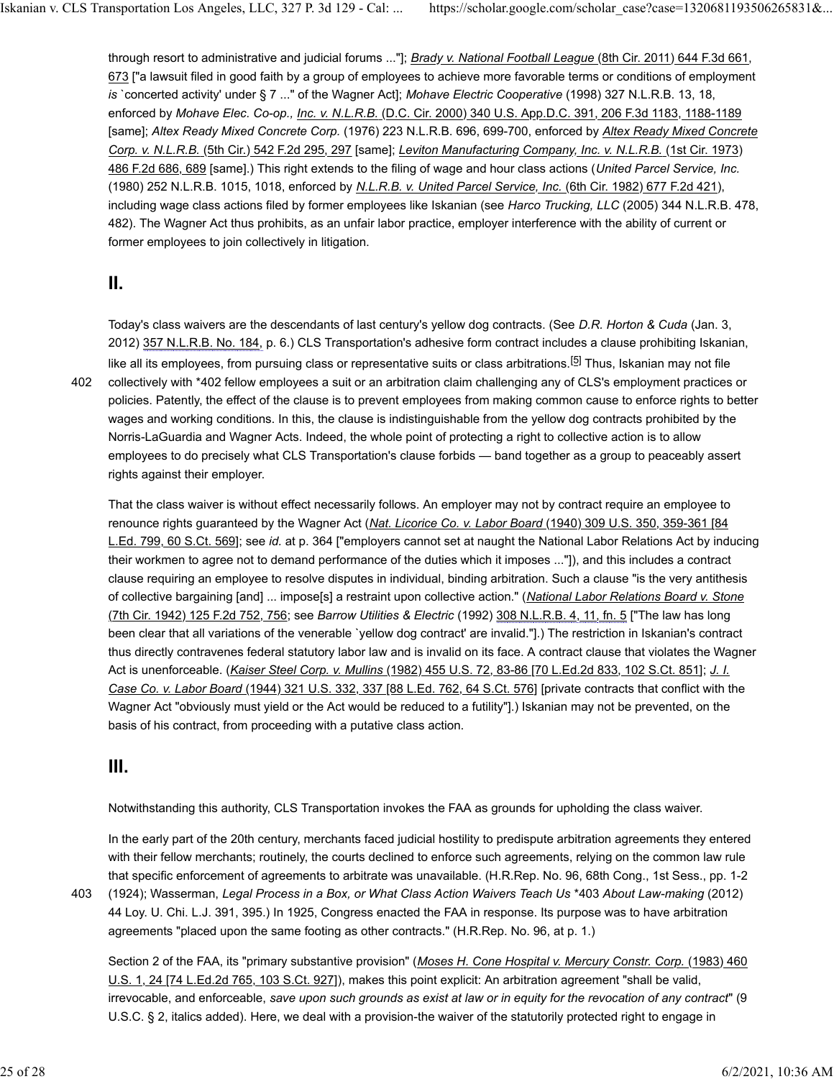through resort to administrative and judicial forums ..."]; *Brady v. National Football League* (8th Cir. 2011) 644 F.3d 661, 673 ["a lawsuit filed in good faith by a group of employees to achieve more favorable terms or conditions of employment *is* `concerted activity' under § 7 ..." of the Wagner Act]; *Mohave Electric Cooperative* (1998) 327 N.L.R.B. 13, 18, enforced by *Mohave Elec. Co-op., Inc. v. N.L.R.B.* (D.C. Cir. 2000) 340 U.S. App.D.C. 391, 206 F.3d 1183, 1188-1189 [same]; *Altex Ready Mixed Concrete Corp.* (1976) 223 N.L.R.B. 696, 699-700, enforced by *Altex Ready Mixed Concrete Corp. v. N.L.R.B.* (5th Cir.) 542 F.2d 295, 297 [same]; *Leviton Manufacturing Company, Inc. v. N.L.R.B.* (1st Cir. 1973) 486 F.2d 686, 689 [same].) This right extends to the filing of wage and hour class actions (*United Parcel Service, Inc.* (1980) 252 N.L.R.B. 1015, 1018, enforced by *N.L.R.B. v. United Parcel Service, Inc.* (6th Cir. 1982) 677 F.2d 421), including wage class actions filed by former employees like Iskanian (see *Harco Trucking, LLC* (2005) 344 N.L.R.B. 478, 482). The Wagner Act thus prohibits, as an unfair labor practice, employer interference with the ability of current or former employees to join collectively in litigation.

#### **II.**

402

Today's class waivers are the descendants of last century's yellow dog contracts. (See *D.R. Horton & Cuda* (Jan. 3, 2012) 357 N.L.R.B. No. 184, p. 6.) CLS Transportation's adhesive form contract includes a clause prohibiting Iskanian, like all its employees, from pursuing class or representative suits or class arbitrations.<sup>[5]</sup> Thus, Iskanian mav not file collectively with \*402 fellow employees a suit or an arbitration claim challenging any of CLS's employment practices or policies. Patently, the effect of the clause is to prevent employees from making common cause to enforce rights to better wages and working conditions. In this, the clause is indistinguishable from the yellow dog contracts prohibited by the Norris-LaGuardia and Wagner Acts. Indeed, the whole point of protecting a right to collective action is to allow employees to do precisely what CLS Transportation's clause forbids — band together as a group to peaceably assert rights against their employer.

That the class waiver is without effect necessarily follows. An employer may not by contract require an employee to renounce rights guaranteed by the Wagner Act (*Nat. Licorice Co. v. Labor Board* (1940) 309 U.S. 350, 359-361 [84 L.Ed. 799, 60 S.Ct. 569]; see *id.* at p. 364 ["employers cannot set at naught the National Labor Relations Act by inducing their workmen to agree not to demand performance of the duties which it imposes ..."]), and this includes a contract clause requiring an employee to resolve disputes in individual, binding arbitration. Such a clause "is the very antithesis of collective bargaining [and] ... impose[s] a restraint upon collective action." (*National Labor Relations Board v. Stone* (7th Cir. 1942) 125 F.2d 752, 756; see *Barrow Utilities & Electric* (1992) 308 N.L.R.B. 4, 11, fn. 5 ["The law has long been clear that all variations of the venerable `yellow dog contract' are invalid."].) The restriction in Iskanian's contract thus directly contravenes federal statutory labor law and is invalid on its face. A contract clause that violates the Wagner Act is unenforceable. (*Kaiser Steel Corp. v. Mullins* (1982) 455 U.S. 72, 83-86 [70 L.Ed.2d 833, 102 S.Ct. 851]; *J. I. Case Co. v. Labor Board* (1944) 321 U.S. 332, 337 [88 L.Ed. 762, 64 S.Ct. 576] [private contracts that conflict with the Wagner Act "obviously must yield or the Act would be reduced to a futility"].) Iskanian may not be prevented, on the basis of his contract, from proceeding with a putative class action.

### **III.**

403

Notwithstanding this authority, CLS Transportation invokes the FAA as grounds for upholding the class waiver.

In the early part of the 20th century, merchants faced judicial hostility to predispute arbitration agreements they entered with their fellow merchants; routinely, the courts declined to enforce such agreements, relying on the common law rule that specific enforcement of agreements to arbitrate was unavailable. (H.R.Rep. No. 96, 68th Cong., 1st Sess., pp. 1-2 (1924); Wasserman, *Legal Process in a Box, or What Class Action Waivers Teach Us* \*403 *About Law-making* (2012)

44 Loy. U. Chi. L.J. 391, 395.) In 1925, Congress enacted the FAA in response. Its purpose was to have arbitration agreements "placed upon the same footing as other contracts." (H.R.Rep. No. 96, at p. 1.)

Section 2 of the FAA, its "primary substantive provision" (*Moses H. Cone Hospital v. Mercury Constr. Corp.* (1983) 460 U.S. 1, 24 [74 L.Ed.2d 765, 103 S.Ct. 927]), makes this point explicit: An arbitration agreement "shall be valid, irrevocable, and enforceable, *save upon such grounds as exist at law or in equity for the revocation of any contract*" (9 U.S.C. § 2, italics added). Here, we deal with a provision-the waiver of the statutorily protected right to engage in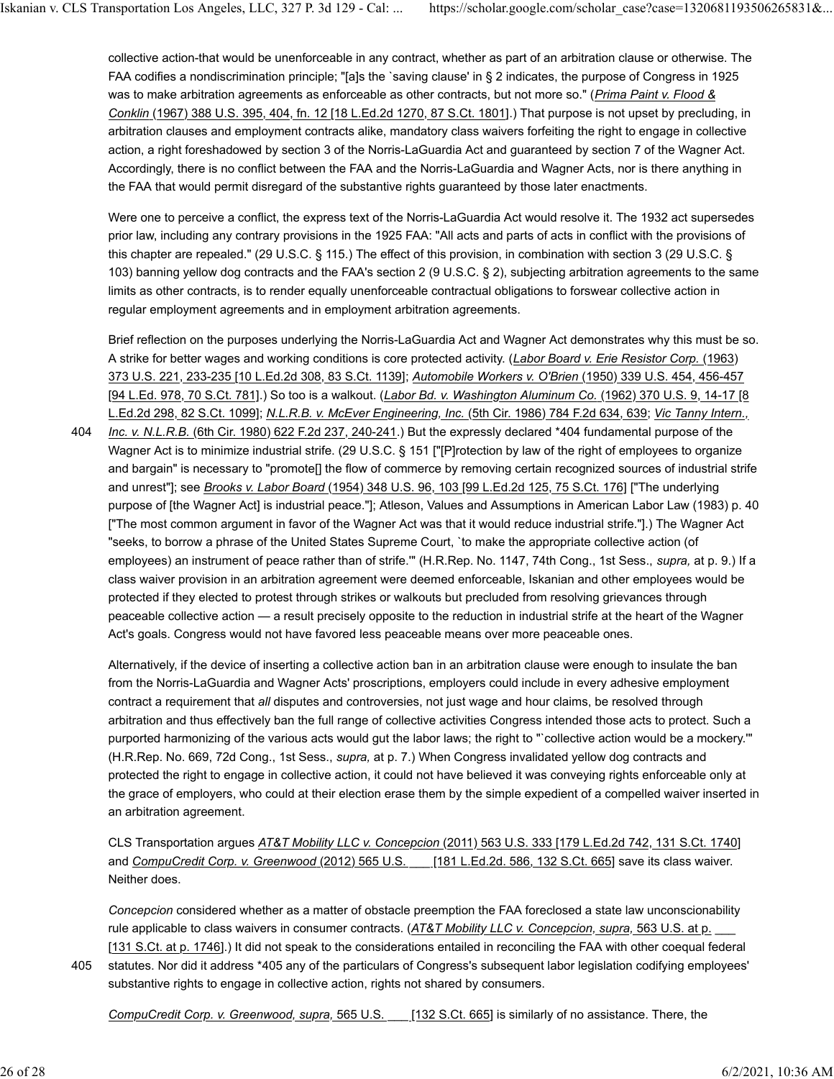collective action-that would be unenforceable in any contract, whether as part of an arbitration clause or otherwise. The FAA codifies a nondiscrimination principle; "[a]s the `saving clause' in § 2 indicates, the purpose of Congress in 1925 was to make arbitration agreements as enforceable as other contracts, but not more so." (*Prima Paint v. Flood & Conklin* (1967) 388 U.S. 395, 404, fn. 12 [18 L.Ed.2d 1270, 87 S.Ct. 1801].) That purpose is not upset by precluding, in arbitration clauses and employment contracts alike, mandatory class waivers forfeiting the right to engage in collective action, a right foreshadowed by section 3 of the Norris-LaGuardia Act and guaranteed by section 7 of the Wagner Act. Accordingly, there is no conflict between the FAA and the Norris-LaGuardia and Wagner Acts, nor is there anything in the FAA that would permit disregard of the substantive rights guaranteed by those later enactments.

Were one to perceive a conflict, the express text of the Norris-LaGuardia Act would resolve it. The 1932 act supersedes prior law, including any contrary provisions in the 1925 FAA: "All acts and parts of acts in conflict with the provisions of this chapter are repealed." (29 U.S.C. § 115.) The effect of this provision, in combination with section 3 (29 U.S.C. § 103) banning yellow dog contracts and the FAA's section 2 (9 U.S.C. § 2), subjecting arbitration agreements to the same limits as other contracts, is to render equally unenforceable contractual obligations to forswear collective action in regular employment agreements and in employment arbitration agreements.

Brief reflection on the purposes underlying the Norris-LaGuardia Act and Wagner Act demonstrates why this must be so. A strike for better wages and working conditions is core protected activity. (*Labor Board v. Erie Resistor Corp.* (1963) 373 U.S. 221, 233-235 [10 L.Ed.2d 308, 83 S.Ct. 1139]; *Automobile Workers v. O'Brien* (1950) 339 U.S. 454, 456-457 [94 L.Ed. 978, 70 S.Ct. 781].) So too is a walkout. (*Labor Bd. v. Washington Aluminum Co.* (1962) 370 U.S. 9, 14-17 [8 L.Ed.2d 298, 82 S.Ct. 1099]; *N.L.R.B. v. McEver Engineering, Inc.* (5th Cir. 1986) 784 F.2d 634, 639; *Vic Tanny Intern.,*

*Inc. v. N.L.R.B.* (6th Cir. 1980) 622 F.2d 237, 240-241.) But the expressly declared \*404 fundamental purpose of the Wagner Act is to minimize industrial strife. (29 U.S.C. § 151 ["[P]rotection by law of the right of employees to organize and bargain" is necessary to "promote[] the flow of commerce by removing certain recognized sources of industrial strife and unrest"]; see *Brooks v. Labor Board* (1954) 348 U.S. 96, 103 [99 L.Ed.2d 125, 75 S.Ct. 176] ["The underlying purpose of [the Wagner Act] is industrial peace."]; Atleson, Values and Assumptions in American Labor Law (1983) p. 40 ["The most common argument in favor of the Wagner Act was that it would reduce industrial strife."].) The Wagner Act "seeks, to borrow a phrase of the United States Supreme Court, `to make the appropriate collective action (of employees) an instrument of peace rather than of strife.'" (H.R.Rep. No. 1147, 74th Cong., 1st Sess., *supra,* at p. 9.) If a class waiver provision in an arbitration agreement were deemed enforceable, Iskanian and other employees would be protected if they elected to protest through strikes or walkouts but precluded from resolving grievances through peaceable collective action — a result precisely opposite to the reduction in industrial strife at the heart of the Wagner Act's goals. Congress would not have favored less peaceable means over more peaceable ones. 404

Alternatively, if the device of inserting a collective action ban in an arbitration clause were enough to insulate the ban from the Norris-LaGuardia and Wagner Acts' proscriptions, employers could include in every adhesive employment contract a requirement that *all* disputes and controversies, not just wage and hour claims, be resolved through arbitration and thus effectively ban the full range of collective activities Congress intended those acts to protect. Such a purported harmonizing of the various acts would gut the labor laws; the right to "`collective action would be a mockery.'" (H.R.Rep. No. 669, 72d Cong., 1st Sess., *supra,* at p. 7.) When Congress invalidated yellow dog contracts and protected the right to engage in collective action, it could not have believed it was conveying rights enforceable only at the grace of employers, who could at their election erase them by the simple expedient of a compelled waiver inserted in an arbitration agreement.

CLS Transportation argues *AT&T Mobility LLC v. Concepcion* (2011) 563 U.S. 333 [179 L.Ed.2d 742, 131 S.Ct. 1740] and *CompuCredit Corp. v. Greenwood* (2012) 565 U.S. \_\_\_ [181 L.Ed.2d. 586, 132 S.Ct. 665] save its class waiver. Neither does.

*Concepcion* considered whether as a matter of obstacle preemption the FAA foreclosed a state law unconscionability rule applicable to class waivers in consumer contracts. (*AT&T Mobility LLC v. Concepcion, supra,* 563 U.S. at p. \_\_\_ [131 S.Ct. at p. 1746].) It did not speak to the considerations entailed in reconciling the FAA with other coequal federal statutes. Nor did it address \*405 any of the particulars of Congress's subsequent labor legislation codifying employees'

substantive rights to engage in collective action, rights not shared by consumers.

*CompuCredit Corp. v. Greenwood, supra,* 565 U.S. \_\_\_ [132 S.Ct. 665] is similarly of no assistance. There, the

405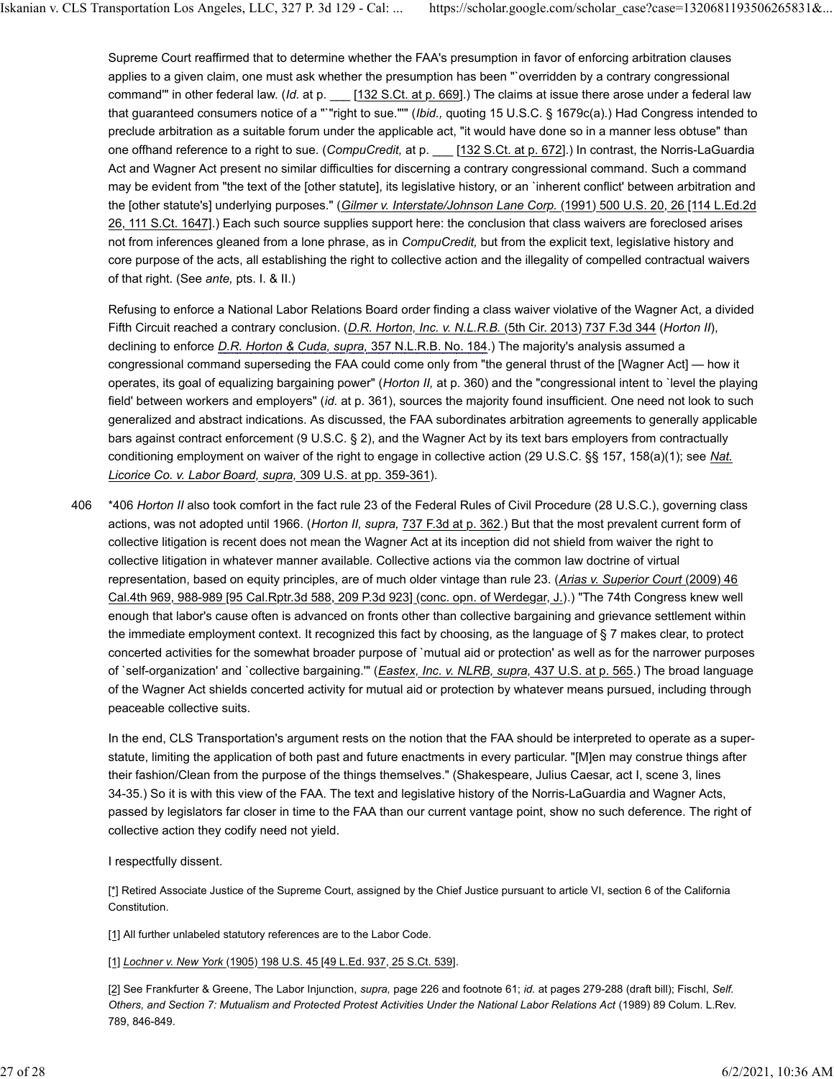Supreme Court reaffirmed that to determine whether the FAA's presumption in favor of enforcing arbitration clauses applies to a given claim, one must ask whether the presumption has been "`overridden by a contrary congressional command" in other federal law. (*Id.* at p. \_\_\_ [132 S.Ct. at p. 669].) The claims at issue there arose under a federal law that guaranteed consumers notice of a "`"right to sue."'" (*Ibid.,* quoting 15 U.S.C. § 1679c(a).) Had Congress intended to preclude arbitration as a suitable forum under the applicable act, "it would have done so in a manner less obtuse" than one offhand reference to a right to sue. (*CompuCredit*, at p. \_\_\_ [132 S.Ct. at p. 672].) In contrast, the Norris-LaGuardia Act and Wagner Act present no similar difficulties for discerning a contrary congressional command. Such a command may be evident from "the text of the [other statute], its legislative history, or an `inherent conflict' between arbitration and the [other statute's] underlying purposes." (*Gilmer v. Interstate/Johnson Lane Corp.* (1991) 500 U.S. 20, 26 [114 L.Ed.2d 26, 111 S.Ct. 1647].) Each such source supplies support here: the conclusion that class waivers are foreclosed arises not from inferences gleaned from a lone phrase, as in *CompuCredit,* but from the explicit text, legislative history and core purpose of the acts, all establishing the right to collective action and the illegality of compelled contractual waivers of that right. (See *ante,* pts. I. & II.)

Refusing to enforce a National Labor Relations Board order finding a class waiver violative of the Wagner Act, a divided Fifth Circuit reached a contrary conclusion. (*D.R. Horton, Inc. v. N.L.R.B.* (5th Cir. 2013) 737 F.3d 344 (*Horton II*), declining to enforce *D.R. Horton & Cuda, supra,* 357 N.L.R.B. No. 184.) The majority's analysis assumed a congressional command superseding the FAA could come only from "the general thrust of the [Wagner Act] — how it operates, its goal of equalizing bargaining power" (*Horton II,* at p. 360) and the "congressional intent to `level the playing field' between workers and employers" (*id.* at p. 361), sources the majority found insufficient. One need not look to such generalized and abstract indications. As discussed, the FAA subordinates arbitration agreements to generally applicable bars against contract enforcement (9 U.S.C. § 2), and the Wagner Act by its text bars employers from contractually conditioning employment on waiver of the right to engage in collective action (29 U.S.C. §§ 157, 158(a)(1); see *Nat. Licorice Co. v. Labor Board, supra,* 309 U.S. at pp. 359-361).

\*406 *Horton II* also took comfort in the fact rule 23 of the Federal Rules of Civil Procedure (28 U.S.C.), governing class actions, was not adopted until 1966. (*Horton II, supra,* 737 F.3d at p. 362.) But that the most prevalent current form of collective litigation is recent does not mean the Wagner Act at its inception did not shield from waiver the right to collective litigation in whatever manner available. Collective actions via the common law doctrine of virtual representation, based on equity principles, are of much older vintage than rule 23. (*Arias v. Superior Court* (2009) 46 Cal.4th 969, 988-989 [95 Cal.Rptr.3d 588, 209 P.3d 923] (conc. opn. of Werdegar, J.).) "The 74th Congress knew well enough that labor's cause often is advanced on fronts other than collective bargaining and grievance settlement within the immediate employment context. It recognized this fact by choosing, as the language of § 7 makes clear, to protect concerted activities for the somewhat broader purpose of `mutual aid or protection' as well as for the narrower purposes of `self-organization' and `collective bargaining.'" (*Eastex, Inc. v. NLRB, supra,* 437 U.S. at p. 565.) The broad language of the Wagner Act shields concerted activity for mutual aid or protection by whatever means pursued, including through peaceable collective suits. 406

In the end, CLS Transportation's argument rests on the notion that the FAA should be interpreted to operate as a superstatute, limiting the application of both past and future enactments in every particular. "[M]en may construe things after their fashion/Clean from the purpose of the things themselves." (Shakespeare, Julius Caesar, act I, scene 3, lines 34-35.) So it is with this view of the FAA. The text and legislative history of the Norris-LaGuardia and Wagner Acts, passed by legislators far closer in time to the FAA than our current vantage point, show no such deference. The right of collective action they codify need not yield.

I respectfully dissent.

[\*] Retired Associate Justice of the Supreme Court, assigned by the Chief Justice pursuant to article VI, section 6 of the California Constitution.

[1] All further unlabeled statutory references are to the Labor Code.

[1] *Lochner v. New York* (1905) 198 U.S. 45 [49 L.Ed. 937, 25 S.Ct. 539].

[2] See Frankfurter & Greene, The Labor Injunction, *supra,* page 226 and footnote 61; *id.* at pages 279-288 (draft bill); Fischl, *Self. Others, and Section 7: Mutualism and Protected Protest Activities Under the National Labor Relations Act* (1989) 89 Colum. L.Rev. 789, 846-849.